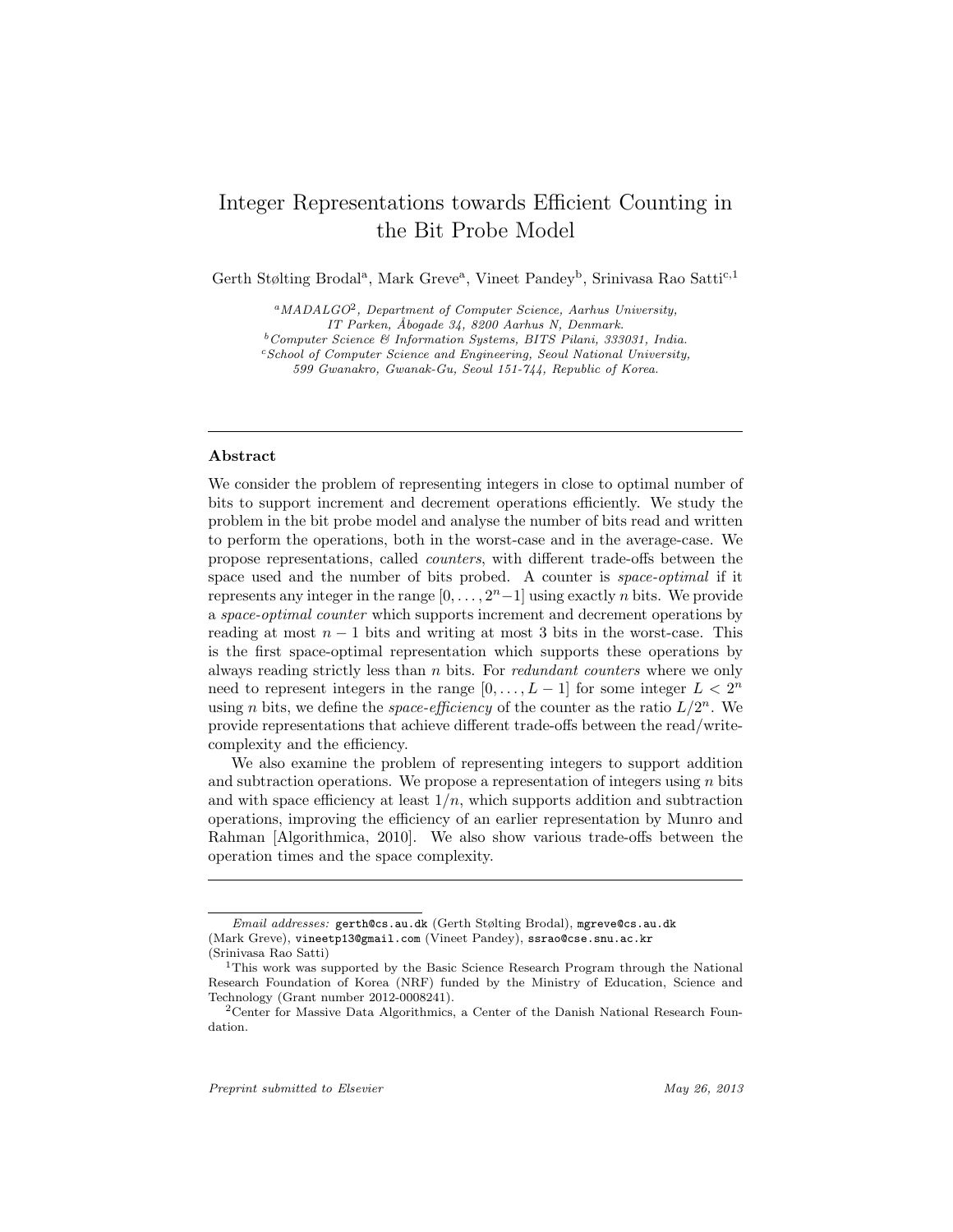# Integer Representations towards Efficient Counting in the Bit Probe Model

Gerth Stølting Brodal<sup>a</sup>, Mark Greve<sup>a</sup>, Vineet Pandey<sup>b</sup>, Srinivasa Rao Satti<sup>c,1</sup>

 ${}^a$ MADALGO<sup>2</sup>, Department of Computer Science, Aarhus University,

 $c$ School of Computer Science and Engineering, Seoul National University,

599 Gwanakro, Gwanak-Gu, Seoul 151-744, Republic of Korea.

# Abstract

We consider the problem of representing integers in close to optimal number of bits to support increment and decrement operations efficiently. We study the problem in the bit probe model and analyse the number of bits read and written to perform the operations, both in the worst-case and in the average-case. We propose representations, called counters, with different trade-offs between the space used and the number of bits probed. A counter is *space-optimal* if it represents any integer in the range  $[0, \ldots, 2<sup>n</sup>-1]$  using exactly *n* bits. We provide a space-optimal counter which supports increment and decrement operations by reading at most  $n - 1$  bits and writing at most 3 bits in the worst-case. This is the first space-optimal representation which supports these operations by always reading strictly less than  $n$  bits. For *redundant counters* where we only need to represent integers in the range  $[0, \ldots, L-1]$  for some integer  $L < 2^n$ using *n* bits, we define the *space-efficiency* of the counter as the ratio  $L/2^n$ . We provide representations that achieve different trade-offs between the read/writecomplexity and the efficiency.

We also examine the problem of representing integers to support addition and subtraction operations. We propose a representation of integers using  $n$  bits and with space efficiency at least  $1/n$ , which supports addition and subtraction operations, improving the efficiency of an earlier representation by Munro and Rahman [Algorithmica, 2010]. We also show various trade-offs between the operation times and the space complexity.

IT Parken, Åbogade 34, 8200 Aarhus N, Denmark.

 $^{b}$ Computer Science & Information Systems, BITS Pilani, 333031, India.

Email addresses: gerth@cs.au.dk (Gerth Stølting Brodal), mgreve@cs.au.dk (Mark Greve), vineetp13@gmail.com (Vineet Pandey), ssrao@cse.snu.ac.kr (Srinivasa Rao Satti)

<sup>1</sup>This work was supported by the Basic Science Research Program through the National Research Foundation of Korea (NRF) funded by the Ministry of Education, Science and Technology (Grant number 2012-0008241).

<sup>2</sup>Center for Massive Data Algorithmics, a Center of the Danish National Research Foundation.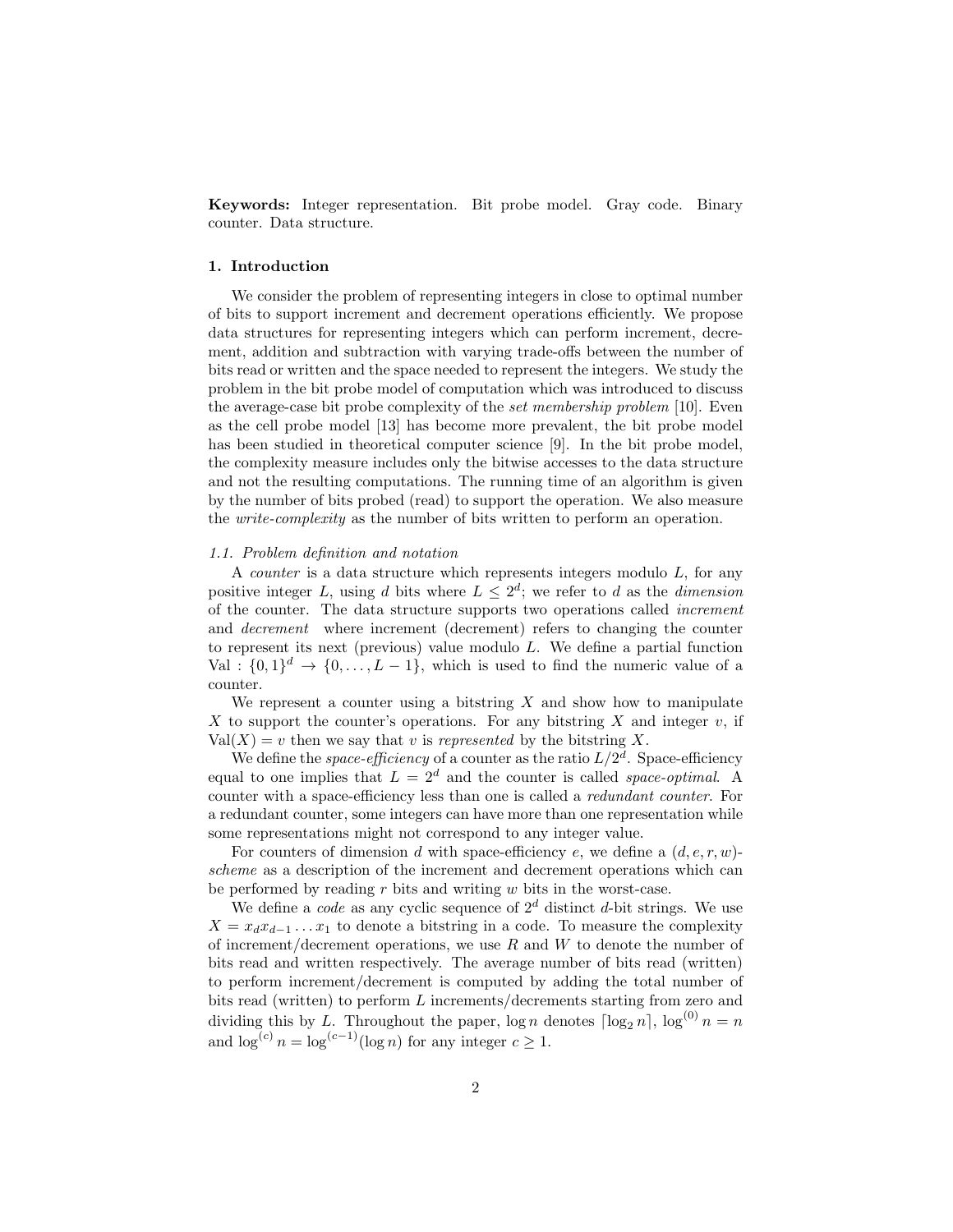Keywords: Integer representation. Bit probe model. Gray code. Binary counter. Data structure.

# 1. Introduction

We consider the problem of representing integers in close to optimal number of bits to support increment and decrement operations efficiently. We propose data structures for representing integers which can perform increment, decrement, addition and subtraction with varying trade-offs between the number of bits read or written and the space needed to represent the integers. We study the problem in the bit probe model of computation which was introduced to discuss the average-case bit probe complexity of the set membership problem [10]. Even as the cell probe model [13] has become more prevalent, the bit probe model has been studied in theoretical computer science [9]. In the bit probe model, the complexity measure includes only the bitwise accesses to the data structure and not the resulting computations. The running time of an algorithm is given by the number of bits probed (read) to support the operation. We also measure the write-complexity as the number of bits written to perform an operation.

#### 1.1. Problem definition and notation

A *counter* is a data structure which represents integers modulo  $L$ , for any positive integer L, using d bits where  $L \leq 2^d$ ; we refer to d as the dimension of the counter. The data structure supports two operations called increment and decrement where increment (decrement) refers to changing the counter to represent its next (previous) value modulo L. We define a partial function Val :  $\{0,1\}^d \rightarrow \{0,\ldots,L-1\}$ , which is used to find the numeric value of a counter.

We represent a counter using a bitstring  $X$  and show how to manipulate X to support the counter's operations. For any bitstring X and integer  $v$ , if  $Val(X) = v$  then we say that v is represented by the bitstring X.

We define the *space-efficiency* of a counter as the ratio  $L/2^d$ . Space-efficiency equal to one implies that  $L = 2^d$  and the counter is called *space-optimal*. A counter with a space-efficiency less than one is called a redundant counter. For a redundant counter, some integers can have more than one representation while some representations might not correspond to any integer value.

For counters of dimension d with space-efficiency e, we define a  $(d, e, r, w)$ scheme as a description of the increment and decrement operations which can be performed by reading  $r$  bits and writing  $w$  bits in the worst-case.

We define a *code* as any cyclic sequence of  $2^d$  distinct d-bit strings. We use  $X = x_d x_{d-1} \dots x_1$  to denote a bitstring in a code. To measure the complexity of increment/decrement operations, we use  $R$  and  $W$  to denote the number of bits read and written respectively. The average number of bits read (written) to perform increment/decrement is computed by adding the total number of bits read (written) to perform L increments/decrements starting from zero and dividing this by L. Throughout the paper, log n denotes  $\lceil \log_2 n \rceil$ ,  $\log^{(0)} n = n$ and  $\log^{(c)} n = \log^{(c-1)}(\log n)$  for any integer  $c \geq 1$ .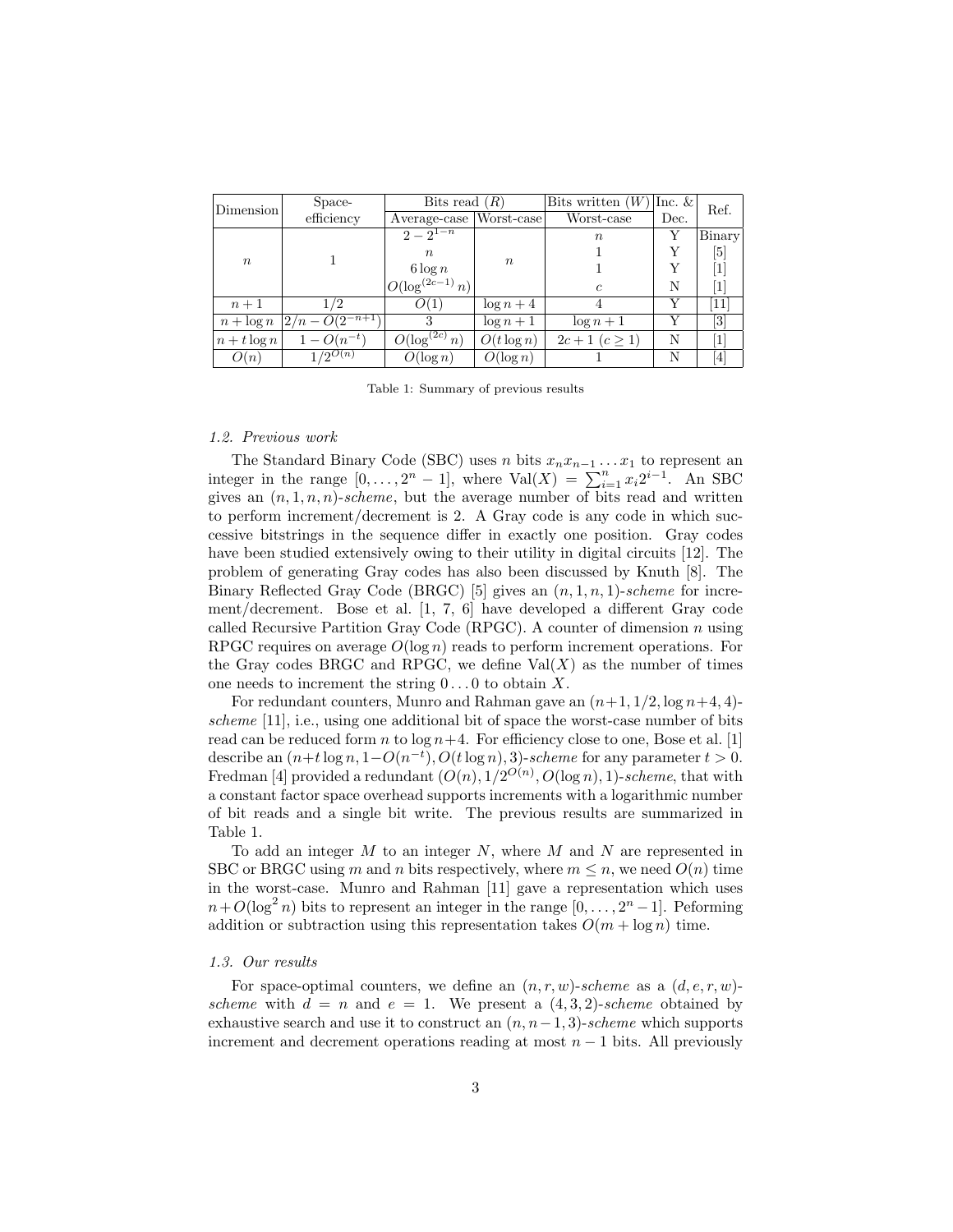| Dimension        | Space-                                 | Bits read $(R)$      |                  | Bits written $(W)$ | Inc. $\&$ | Ref.                                                                                                                                                                                  |
|------------------|----------------------------------------|----------------------|------------------|--------------------|-----------|---------------------------------------------------------------------------------------------------------------------------------------------------------------------------------------|
|                  | efficiency                             | Average-case         | Worst-case       | Worst-case         | Dec.      |                                                                                                                                                                                       |
|                  |                                        | $2-2^{1-n}$          |                  | $\,n$              |           | Binary                                                                                                                                                                                |
|                  |                                        | $\boldsymbol{n}$     |                  |                    |           | [5]                                                                                                                                                                                   |
| $\boldsymbol{n}$ |                                        | $6 \log n$           | $\boldsymbol{n}$ |                    |           |                                                                                                                                                                                       |
|                  |                                        | $O(\log^{(2c-1)} n)$ |                  | $\epsilon$         | N         | $\mathbf{1}$                                                                                                                                                                          |
| $n+1$            | 1/2                                    | O(1)                 | $\log n + 4$     |                    |           | 11                                                                                                                                                                                    |
| $n + \log n$     | $\left 2/n - O(2^{-n+1}\right)\right $ | 3                    | $\log n + 1$     | $\log n + 1$       |           | $\left\lceil 3 \right\rceil$                                                                                                                                                          |
| $n + t \log n$   | $1 - O(n^{-t})$                        | $O(\log^{(2c)} n)$   | $O(t \log n)$    | $2c+1$ $(c \ge 1)$ | N         |                                                                                                                                                                                       |
| O(n)             | $1/2^{O(n)}$                           | $O(\log n)$          | $O(\log n)$      |                    | N         | $[4] % \includegraphics[width=1\textwidth]{images/TrDiM-Architecture.png} \caption{The figure shows the results of the estimators in the left hand side.} \label{TrDiM-Architecture}$ |

Table 1: Summary of previous results

# 1.2. Previous work

The Standard Binary Code (SBC) uses n bits  $x_n x_{n-1} \ldots x_1$  to represent an integer in the range  $[0, \ldots, 2^n - 1]$ , where Val $(X) = \sum_{i=1}^n x_i 2^{i-1}$ . An SBC gives an  $(n, 1, n, n)$ -scheme, but the average number of bits read and written to perform increment/decrement is 2. A Gray code is any code in which successive bitstrings in the sequence differ in exactly one position. Gray codes have been studied extensively owing to their utility in digital circuits [12]. The problem of generating Gray codes has also been discussed by Knuth [8]. The Binary Reflected Gray Code (BRGC) [5] gives an  $(n, 1, n, 1)$ -scheme for increment/decrement. Bose et al. [1, 7, 6] have developed a different Gray code called Recursive Partition Gray Code (RPGC). A counter of dimension n using RPGC requires on average  $O(\log n)$  reads to perform increment operations. For the Gray codes BRGC and RPGC, we define  $Val(X)$  as the number of times one needs to increment the string  $0 \dots 0$  to obtain X.

For redundant counters, Munro and Rahman gave an  $(n+1, 1/2, \log n+4, 4)$ scheme  $[11]$ , i.e., using one additional bit of space the worst-case number of bits read can be reduced form n to  $\log n+4$ . For efficiency close to one, Bose et al. [1] describe an  $(n+t \log n, 1-O(n^{-t}), O(t \log n), 3)$ -scheme for any parameter  $t > 0$ . Fredman [4] provided a redundant  $(O(n), 1/2^{O(n)}, O(\log n), 1)$ -scheme, that with a constant factor space overhead supports increments with a logarithmic number of bit reads and a single bit write. The previous results are summarized in Table 1.

To add an integer  $M$  to an integer  $N$ , where  $M$  and  $N$  are represented in SBC or BRGC using m and n bits respectively, where  $m \leq n$ , we need  $O(n)$  time in the worst-case. Munro and Rahman [11] gave a representation which uses  $n+O(\log^2 n)$  bits to represent an integer in the range  $[0,\ldots,2^n-1]$ . Peforming addition or subtraction using this representation takes  $O(m + \log n)$  time.

## 1.3. Our results

For space-optimal counters, we define an  $(n, r, w)$ -scheme as a  $(d, e, r, w)$ scheme with  $d = n$  and  $e = 1$ . We present a  $(4, 3, 2)$ -scheme obtained by exhaustive search and use it to construct an  $(n, n-1, 3)$ -scheme which supports increment and decrement operations reading at most  $n - 1$  bits. All previously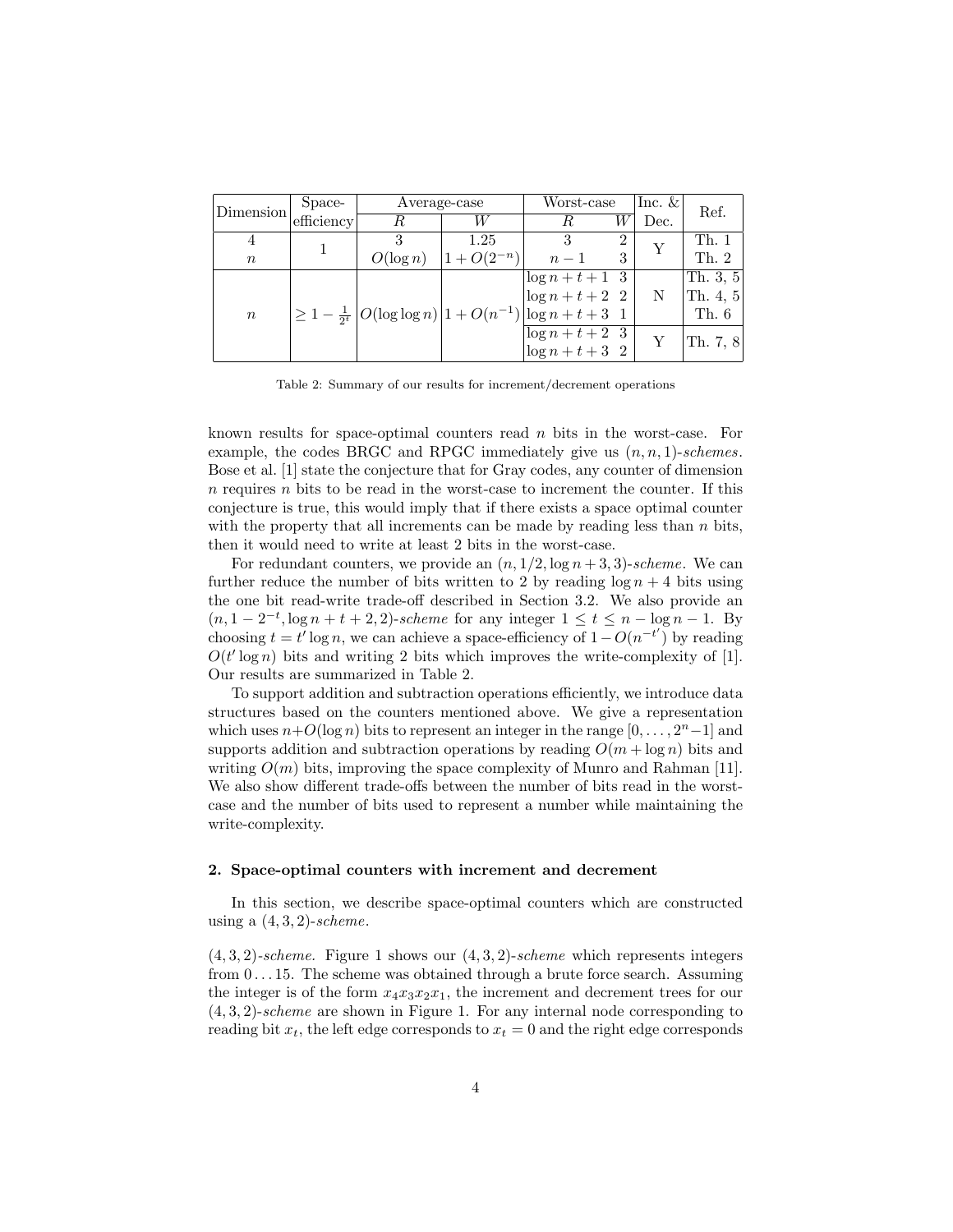| Dimension        | Space-     | Average-case                                                               | Worst-case               | Inc. $\&$          | Ref.           |      |                      |
|------------------|------------|----------------------------------------------------------------------------|--------------------------|--------------------|----------------|------|----------------------|
|                  | efficiency | R                                                                          | W                        | W                  |                | Dec. |                      |
|                  |            |                                                                            | 1.25                     |                    | $\overline{2}$ |      | Th. 1                |
| $\boldsymbol{n}$ |            | $O(\log n)$                                                                | $1 + O(2^{-n})$<br>$n-1$ |                    |                |      | Th. 2                |
|                  |            |                                                                            |                          | $\log n + t + 1$ 3 |                |      | Th. 3, $5$           |
|                  |            |                                                                            |                          | $\log n + t + 2$ 2 |                | N    | $ \text{Th. } 4, 5 $ |
| $\boldsymbol{n}$ |            | $\geq 1 - \frac{1}{2^t}  O(\log \log n)  1 + O(n^{-1})  \log n + t + 3  1$ |                          |                    |                |      | Th. $6$              |
|                  |            |                                                                            |                          | $\log n + t + 2$ 3 |                |      | Th. 7, $8$           |
|                  |            |                                                                            |                          | $\log n + t + 3$ 2 |                |      |                      |

Table 2: Summary of our results for increment/decrement operations

known results for space-optimal counters read n bits in the worst-case. For example, the codes BRGC and RPGC immediately give us  $(n, n, 1)$ -schemes. Bose et al. [1] state the conjecture that for Gray codes, any counter of dimension  $n$  requires  $n$  bits to be read in the worst-case to increment the counter. If this conjecture is true, this would imply that if there exists a space optimal counter with the property that all increments can be made by reading less than  $n$  bits, then it would need to write at least 2 bits in the worst-case.

For redundant counters, we provide an  $(n, 1/2, \log n + 3, 3)$ -scheme. We can further reduce the number of bits written to 2 by reading  $\log n + 4$  bits using the one bit read-write trade-off described in Section 3.2. We also provide an  $(n, 1 - 2^{-t}, \log n + t + 2, 2)$ -scheme for any integer  $1 \le t \le n - \log n - 1$ . By choosing  $t = t' \log n$ , we can achieve a space-efficiency of  $1 - O(n^{-t'})$  by reading  $O(t' \log n)$  bits and writing 2 bits which improves the write-complexity of [1]. Our results are summarized in Table 2.

To support addition and subtraction operations efficiently, we introduce data structures based on the counters mentioned above. We give a representation which uses  $n+O(\log n)$  bits to represent an integer in the range  $[0, \ldots, 2<sup>n</sup>-1]$  and supports addition and subtraction operations by reading  $O(m + \log n)$  bits and writing  $O(m)$  bits, improving the space complexity of Munro and Rahman [11]. We also show different trade-offs between the number of bits read in the worstcase and the number of bits used to represent a number while maintaining the write-complexity.

# 2. Space-optimal counters with increment and decrement

In this section, we describe space-optimal counters which are constructed using a  $(4, 3, 2)$ -scheme.

 $(4, 3, 2)$ -scheme. Figure 1 shows our  $(4, 3, 2)$ -scheme which represents integers from  $0 \ldots 15$ . The scheme was obtained through a brute force search. Assuming the integer is of the form  $x_4x_3x_2x_1$ , the increment and decrement trees for our  $(4, 3, 2)$ -scheme are shown in Figure 1. For any internal node corresponding to reading bit  $x_t$ , the left edge corresponds to  $x_t = 0$  and the right edge corresponds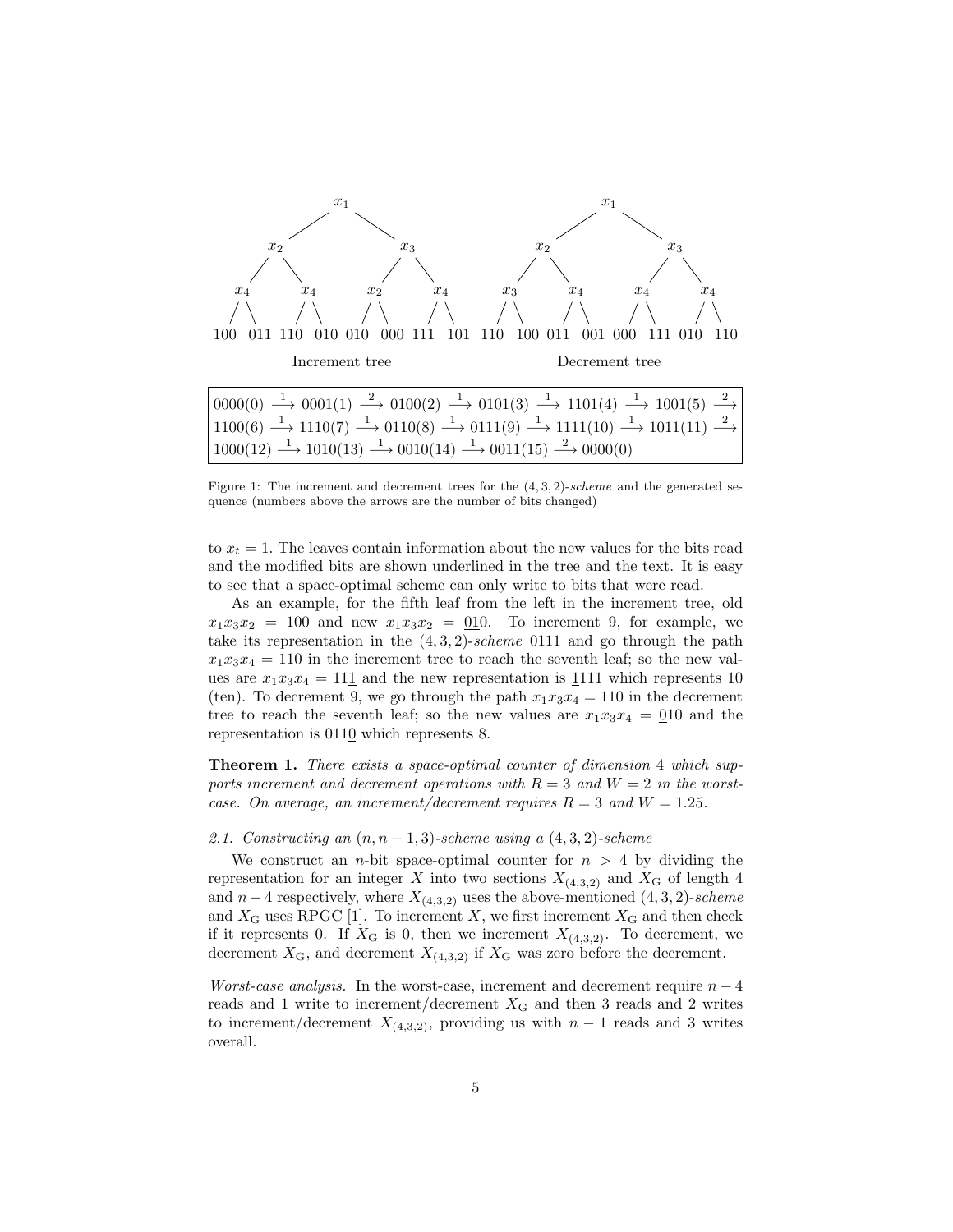

Figure 1: The increment and decrement trees for the  $(4, 3, 2)$ -scheme and the generated sequence (numbers above the arrows are the number of bits changed)

to  $x_t = 1$ . The leaves contain information about the new values for the bits read and the modified bits are shown underlined in the tree and the text. It is easy to see that a space-optimal scheme can only write to bits that were read.

As an example, for the fifth leaf from the left in the increment tree, old  $x_1x_3x_2 = 100$  and new  $x_1x_3x_2 = 010$ . To increment 9, for example, we take its representation in the  $(4, 3, 2)$ -scheme 0111 and go through the path  $x_1x_3x_4 = 110$  in the increment tree to reach the seventh leaf; so the new values are  $x_1x_3x_4 = 111$  and the new representation is 1111 which represents 10 (ten). To decrement 9, we go through the path  $x_1x_3x_4 = 110$  in the decrement tree to reach the seventh leaf; so the new values are  $x_1x_3x_4 = 010$  and the representation is 0110 which represents 8.

Theorem 1. There exists a space-optimal counter of dimension 4 which supports increment and decrement operations with  $R = 3$  and  $W = 2$  in the worstcase. On average, an increment/decrement requires  $R = 3$  and  $W = 1.25$ .

#### 2.1. Constructing an  $(n, n-1, 3)$ -scheme using a  $(4, 3, 2)$ -scheme

We construct an *n*-bit space-optimal counter for  $n > 4$  by dividing the representation for an integer X into two sections  $X_{(4,3,2)}$  and  $X_G$  of length 4 and  $n-4$  respectively, where  $X_{(4,3,2)}$  uses the above-mentioned  $(4,3,2)$ -scheme and  $X_G$  uses RPGC [1]. To increment X, we first increment  $X_G$  and then check if it represents 0. If  $X_G$  is 0, then we increment  $X_{(4,3,2)}$ . To decrement, we decrement  $X_{\text{G}}$ , and decrement  $X_{(4,3,2)}$  if  $X_{\text{G}}$  was zero before the decrement.

*Worst-case analysis.* In the worst-case, increment and decrement require  $n-4$ reads and 1 write to increment/decrement  $X<sub>G</sub>$  and then 3 reads and 2 writes to increment/decrement  $X_{(4,3,2)}$ , providing us with  $n-1$  reads and 3 writes overall.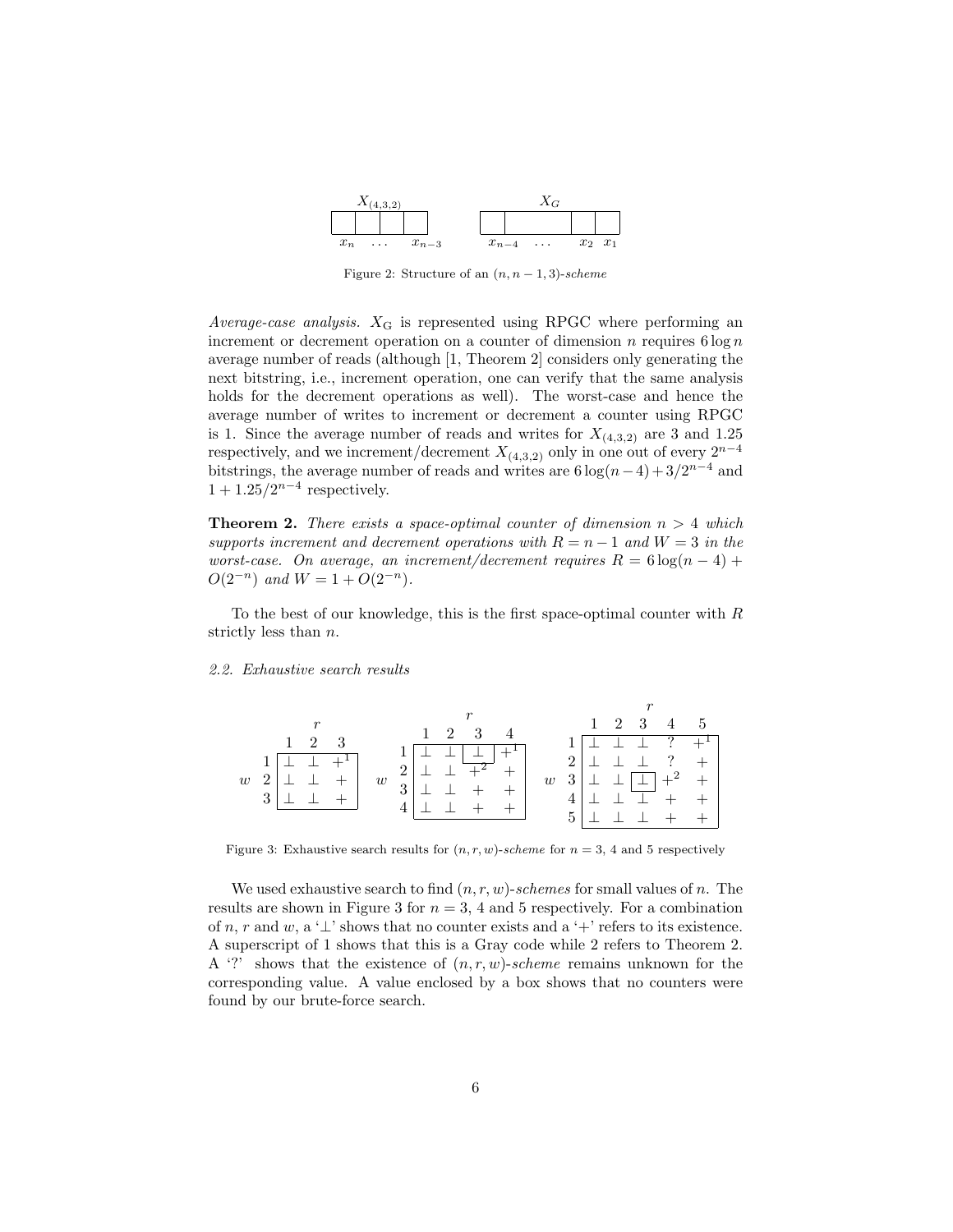

Figure 2: Structure of an  $(n, n-1, 3)$ -scheme

Average-case analysis.  $X_G$  is represented using RPGC where performing an increment or decrement operation on a counter of dimension  $n$  requires  $6 \log n$ average number of reads (although [1, Theorem 2] considers only generating the next bitstring, i.e., increment operation, one can verify that the same analysis holds for the decrement operations as well). The worst-case and hence the average number of writes to increment or decrement a counter using RPGC is 1. Since the average number of reads and writes for  $X_{(4,3,2)}$  are 3 and 1.25 respectively, and we increment/decrement  $X_{(4,3,2)}$  only in one out of every  $2^{n-4}$ bitstrings, the average number of reads and writes are  $6 \log(n-4) + 3/2^{n-4}$  and  $1 + 1.25/2^{n-4}$  respectively.

**Theorem 2.** There exists a space-optimal counter of dimension  $n > 4$  which supports increment and decrement operations with  $R = n - 1$  and  $W = 3$  in the worst-case. On average, an increment/decrement requires  $R = 6 \log(n - 4) +$  $O(2^{-n})$  and  $W = 1 + O(2^{-n})$ .

To the best of our knowledge, this is the first space-optimal counter with  $R$ strictly less than n.

#### 2.2. Exhaustive search results

|   |                                                     | $1 \t2 \t3 \t4$         | $1 \t2 \t3 \t4 \t5$                                 |
|---|-----------------------------------------------------|-------------------------|-----------------------------------------------------|
|   | $1 \t2 \t3$                                         |                         | $\perp$ $\perp$ ? $\overline{+}$ <sup>T</sup><br>1. |
|   | $\overline{\perp}$ $\perp$ $+$ <sup>1</sup> '<br>1. | $2 \perp$               | $2\perp\perp\perp$ ? +                              |
| w |                                                     | w<br>w<br>$3\mid \perp$ | $3 \perp \perp \square +^2 +$                       |
|   | $3 \perp$                                           |                         |                                                     |
|   |                                                     |                         | 5 <sup>1</sup>                                      |

Figure 3: Exhaustive search results for  $(n, r, w)$ -scheme for  $n = 3, 4$  and 5 respectively

We used exhaustive search to find  $(n, r, w)$ -schemes for small values of n. The results are shown in Figure 3 for  $n = 3$ , 4 and 5 respectively. For a combination of n, r and w, a ' $\perp$ ' shows that no counter exists and a ' $+$ ' refers to its existence. A superscript of 1 shows that this is a Gray code while 2 refers to Theorem 2. A '?' shows that the existence of  $(n, r, w)$ -scheme remains unknown for the corresponding value. A value enclosed by a box shows that no counters were found by our brute-force search.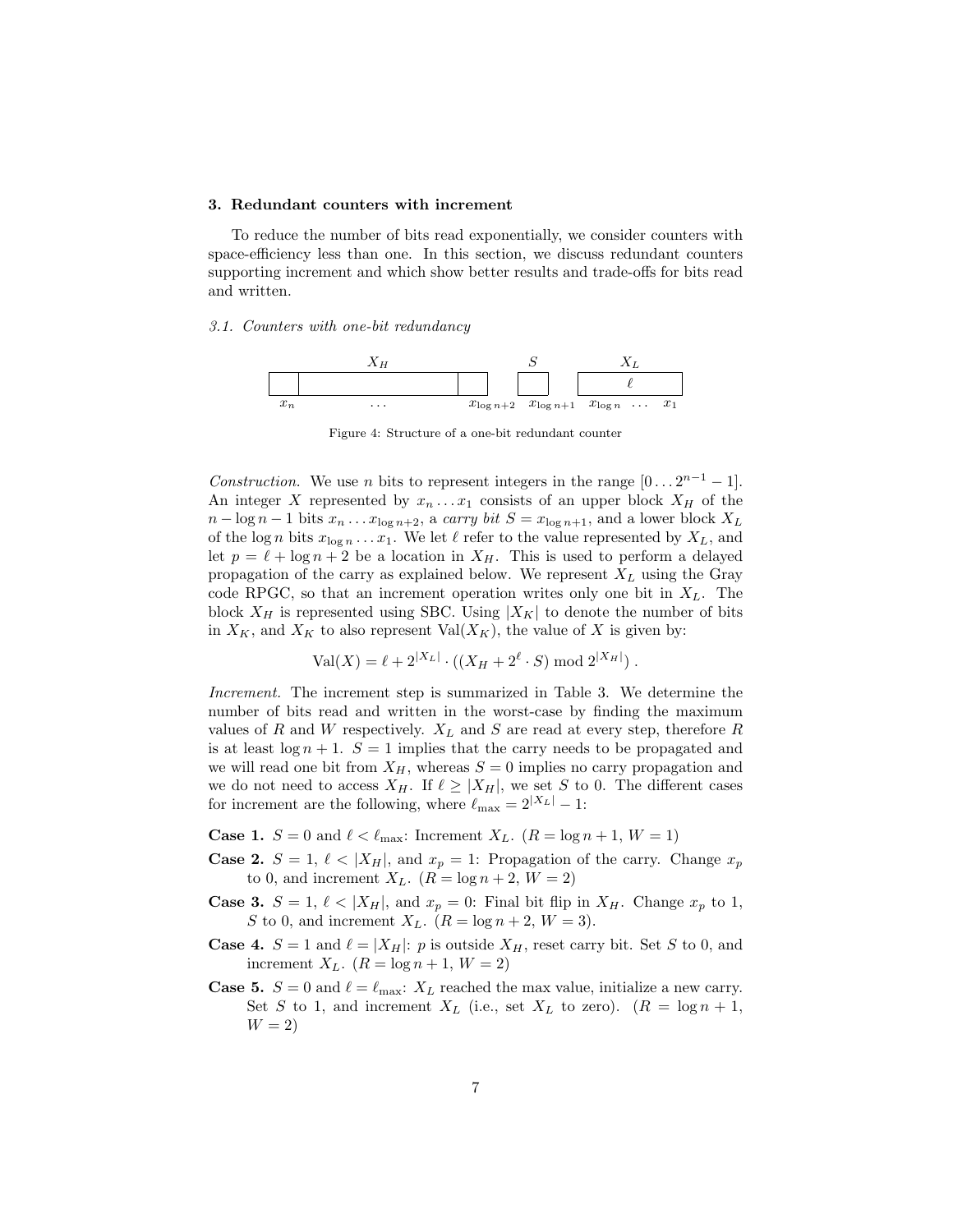#### 3. Redundant counters with increment

To reduce the number of bits read exponentially, we consider counters with space-efficiency less than one. In this section, we discuss redundant counters supporting increment and which show better results and trade-offs for bits read and written.

#### 3.1. Counters with one-bit redundancy



Figure 4: Structure of a one-bit redundant counter

Construction. We use n bits to represent integers in the range  $[0 \dots 2^{n-1} - 1]$ . An integer X represented by  $x_n \dots x_1$  consists of an upper block  $X_H$  of the  $n - \log n - 1$  bits  $x_n \dots x_{\log n+2}$ , a carry bit  $S = x_{\log n+1}$ , and a lower block  $X_L$ of the log n bits  $x_{\log n} \dots x_1$ . We let  $\ell$  refer to the value represented by  $X_L$ , and let  $p = \ell + \log n + 2$  be a location in  $X_H$ . This is used to perform a delayed propagation of the carry as explained below. We represent  $X_L$  using the Gray code RPGC, so that an increment operation writes only one bit in  $X_L$ . The block  $X_H$  is represented using SBC. Using  $|X_K|$  to denote the number of bits in  $X_K$ , and  $X_K$  to also represent Val $(X_K)$ , the value of X is given by:

$$
Val(X) = \ell + 2^{|X_L|} \cdot ((X_H + 2^{\ell} \cdot S) \bmod 2^{|X_H|}).
$$

Increment. The increment step is summarized in Table 3. We determine the number of bits read and written in the worst-case by finding the maximum values of R and W respectively.  $X_L$  and S are read at every step, therefore R is at least  $\log n + 1$ .  $S = 1$  implies that the carry needs to be propagated and we will read one bit from  $X_H$ , whereas  $S = 0$  implies no carry propagation and we do not need to access  $X_H$ . If  $\ell \ge |X_H|$ , we set S to 0. The different cases for increment are the following, where  $\ell_{\text{max}} = 2^{|X_L|} - 1$ :

**Case 1.**  $S = 0$  and  $\ell < \ell_{\text{max}}$ : Increment  $X_L$ .  $(R = \log n + 1, W = 1)$ 

- **Case 2.**  $S = 1, \ell < |X_H|$ , and  $x_p = 1$ : Propagation of the carry. Change  $x_p$ to 0, and increment  $X_L$ .  $(R = \log n + 2, W = 2)$
- **Case 3.**  $S = 1, \ell < |X_H|$ , and  $x_p = 0$ : Final bit flip in  $X_H$ . Change  $x_p$  to 1, S to 0, and increment  $X_L$ .  $(R = \log n + 2, W = 3)$ .
- **Case 4.**  $S = 1$  and  $\ell = |X_H|$ : p is outside  $X_H$ , reset carry bit. Set S to 0, and increment  $X_L$ .  $(R = \log n + 1, W = 2)$
- **Case 5.**  $S = 0$  and  $\ell = \ell_{\text{max}}$ :  $X_L$  reached the max value, initialize a new carry. Set S to 1, and increment  $X_L$  (i.e., set  $X_L$  to zero).  $(R = \log n + 1,$  $W = 2$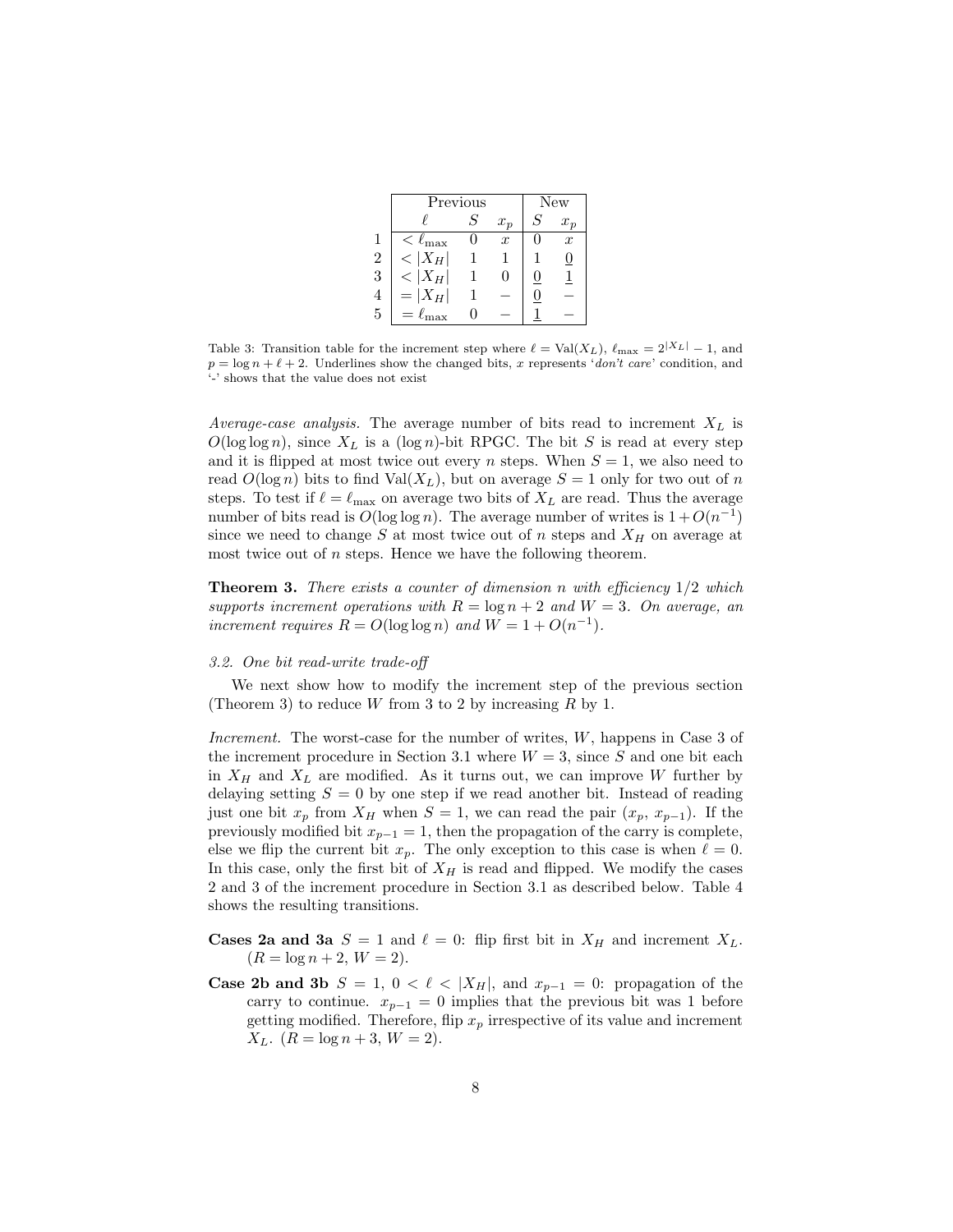|                | Previous          | New |                   |   |                  |
|----------------|-------------------|-----|-------------------|---|------------------|
|                |                   | S   | $x_p$             | S | $x_{n}$          |
|                | $\rm <\ell_{max}$ |     | $\boldsymbol{x}$  |   | $\boldsymbol{x}$ |
| $\overline{2}$ | $< X_H $          |     |                   |   | U                |
| 3              | $< X_H $          |     | $\mathbf{\Omega}$ | U |                  |
| $\overline{4}$ | $=  X_H $         |     |                   | 0 |                  |
| 5              | $=\ell_{\max}$    |     |                   |   |                  |

Table 3: Transition table for the increment step where  $\ell = \text{Val}(X_L)$ ,  $\ell_{\text{max}} = 2^{|X_L|} - 1$ , and  $p = \log n + \ell + 2$ . Underlines show the changed bits, x represents 'don't care' condition, and '-' shows that the value does not exist

Average-case analysis. The average number of bits read to increment  $X_L$  is  $O(\log \log n)$ , since  $X_L$  is a  $(\log n)$ -bit RPGC. The bit S is read at every step and it is flipped at most twice out every n steps. When  $S = 1$ , we also need to read  $O(\log n)$  bits to find Val $(X_L)$ , but on average  $S = 1$  only for two out of n steps. To test if  $\ell = \ell_{\text{max}}$  on average two bits of  $X_L$  are read. Thus the average number of bits read is  $O(\log \log n)$ . The average number of writes is  $1 + O(n^{-1})$ since we need to change S at most twice out of n steps and  $X_H$  on average at most twice out of  $n$  steps. Hence we have the following theorem.

**Theorem 3.** There exists a counter of dimension n with efficiency  $1/2$  which supports increment operations with  $R = \log n + 2$  and  $W = 3$ . On average, an increment requires  $R = O(\log \log n)$  and  $W = 1 + O(n^{-1})$ .

# 3.2. One bit read-write trade-off

We next show how to modify the increment step of the previous section (Theorem 3) to reduce W from 3 to 2 by increasing R by 1.

Increment. The worst-case for the number of writes, W, happens in Case 3 of the increment procedure in Section 3.1 where  $W = 3$ , since S and one bit each in  $X_H$  and  $X_L$  are modified. As it turns out, we can improve W further by delaying setting  $S = 0$  by one step if we read another bit. Instead of reading just one bit  $x_p$  from  $X_H$  when  $S = 1$ , we can read the pair  $(x_p, x_{p-1})$ . If the previously modified bit  $x_{p-1} = 1$ , then the propagation of the carry is complete, else we flip the current bit  $x_p$ . The only exception to this case is when  $\ell = 0$ . In this case, only the first bit of  $X_H$  is read and flipped. We modify the cases 2 and 3 of the increment procedure in Section 3.1 as described below. Table 4 shows the resulting transitions.

- **Cases 2a and 3a**  $S = 1$  and  $\ell = 0$ : flip first bit in  $X_H$  and increment  $X_L$ .  $(R = \log n + 2, W = 2).$
- **Case 2b and 3b**  $S = 1, 0 < \ell < |X_H|$ , and  $x_{p-1} = 0$ : propagation of the carry to continue.  $x_{p-1} = 0$  implies that the previous bit was 1 before getting modified. Therefore, flip  $x_p$  irrespective of its value and increment  $X_L$ .  $(R = \log n + 3, W = 2)$ .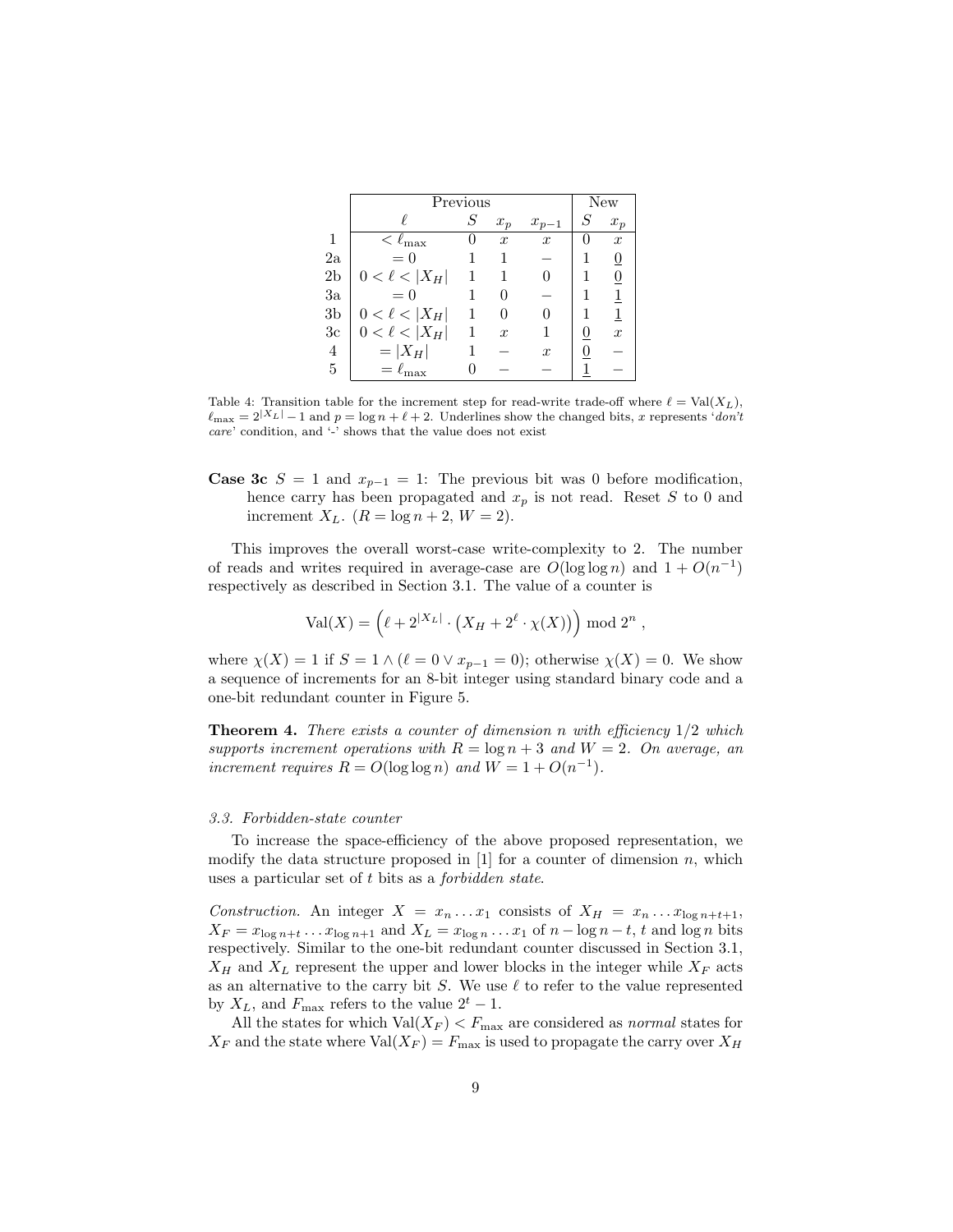|                | Previous              | New |                  |                  |   |                  |
|----------------|-----------------------|-----|------------------|------------------|---|------------------|
|                |                       | S   | $x_p$            | $x_{p-1}$        | S | $x_p$            |
| $\mathbf{1}$   | $\leq \ell_{\rm max}$ |     | $\boldsymbol{x}$ | $\boldsymbol{x}$ |   | $\boldsymbol{x}$ |
| 2a             | $= 0$                 |     |                  |                  |   | 0                |
| $_{\rm 2b}$    | $0 < \ell <  X_H $    |     |                  |                  |   | $\overline{0}$   |
| 3a             | $= 0$                 |     |                  |                  |   | $\overline{1}$   |
| $_{\rm 3b}$    | $0 < \ell <  X_H $    |     |                  |                  |   | $\overline{1}$   |
| 3c             | $0 < \ell <  X_H $    |     | $\boldsymbol{x}$ |                  |   | $\boldsymbol{x}$ |
| $\overline{4}$ | $= X_H $              |     |                  | $\boldsymbol{x}$ |   |                  |
| $\overline{5}$ | $=\ell_{\rm max}$     |     |                  |                  |   |                  |

Table 4: Transition table for the increment step for read-write trade-off where  $\ell = Val(X_L)$ ,  $\ell_{\text{max}} = 2|X_L| - 1$  and  $p = \log n + \ell + 2$ . Underlines show the changed bits, x represents 'don't care' condition, and '-' shows that the value does not exist

**Case 3c**  $S = 1$  and  $x_{p-1} = 1$ : The previous bit was 0 before modification, hence carry has been propagated and  $x_p$  is not read. Reset S to 0 and increment  $X_L$ .  $(R = \log n + 2, W = 2)$ .

This improves the overall worst-case write-complexity to 2. The number of reads and writes required in average-case are  $O(\log \log n)$  and  $1 + O(n^{-1})$ respectively as described in Section 3.1. The value of a counter is

$$
Val(X) = (\ell + 2^{|X_L|} \cdot (X_H + 2^{\ell} \cdot \chi(X)))
$$
 mod 2<sup>n</sup> ,

where  $\chi(X) = 1$  if  $S = 1 \wedge (\ell = 0 \vee x_{p-1} = 0)$ ; otherwise  $\chi(X) = 0$ . We show a sequence of increments for an 8-bit integer using standard binary code and a one-bit redundant counter in Figure 5.

**Theorem 4.** There exists a counter of dimension n with efficiency  $1/2$  which supports increment operations with  $R = \log n + 3$  and  $W = 2$ . On average, an increment requires  $R = O(\log \log n)$  and  $W = 1 + O(n^{-1})$ .

#### 3.3. Forbidden-state counter

To increase the space-efficiency of the above proposed representation, we modify the data structure proposed in  $[1]$  for a counter of dimension n, which uses a particular set of t bits as a forbidden state.

Construction. An integer  $X = x_n \dots x_1$  consists of  $X_H = x_n \dots x_{\log n+t+1}$ ,  $X_F = x_{\log n+t} \dots x_{\log n+1}$  and  $X_L = x_{\log n} \dots x_1$  of  $n - \log n - t$ , t and  $\log n$  bits respectively. Similar to the one-bit redundant counter discussed in Section 3.1,  $X_H$  and  $X_L$  represent the upper and lower blocks in the integer while  $X_F$  acts as an alternative to the carry bit  $S$ . We use  $\ell$  to refer to the value represented by  $X_L$ , and  $F_{\text{max}}$  refers to the value  $2^t - 1$ .

All the states for which  $Val(X_F) < F_{\text{max}}$  are considered as *normal* states for  $X_F$  and the state where  $Val(X_F) = F_{\text{max}}$  is used to propagate the carry over  $X_H$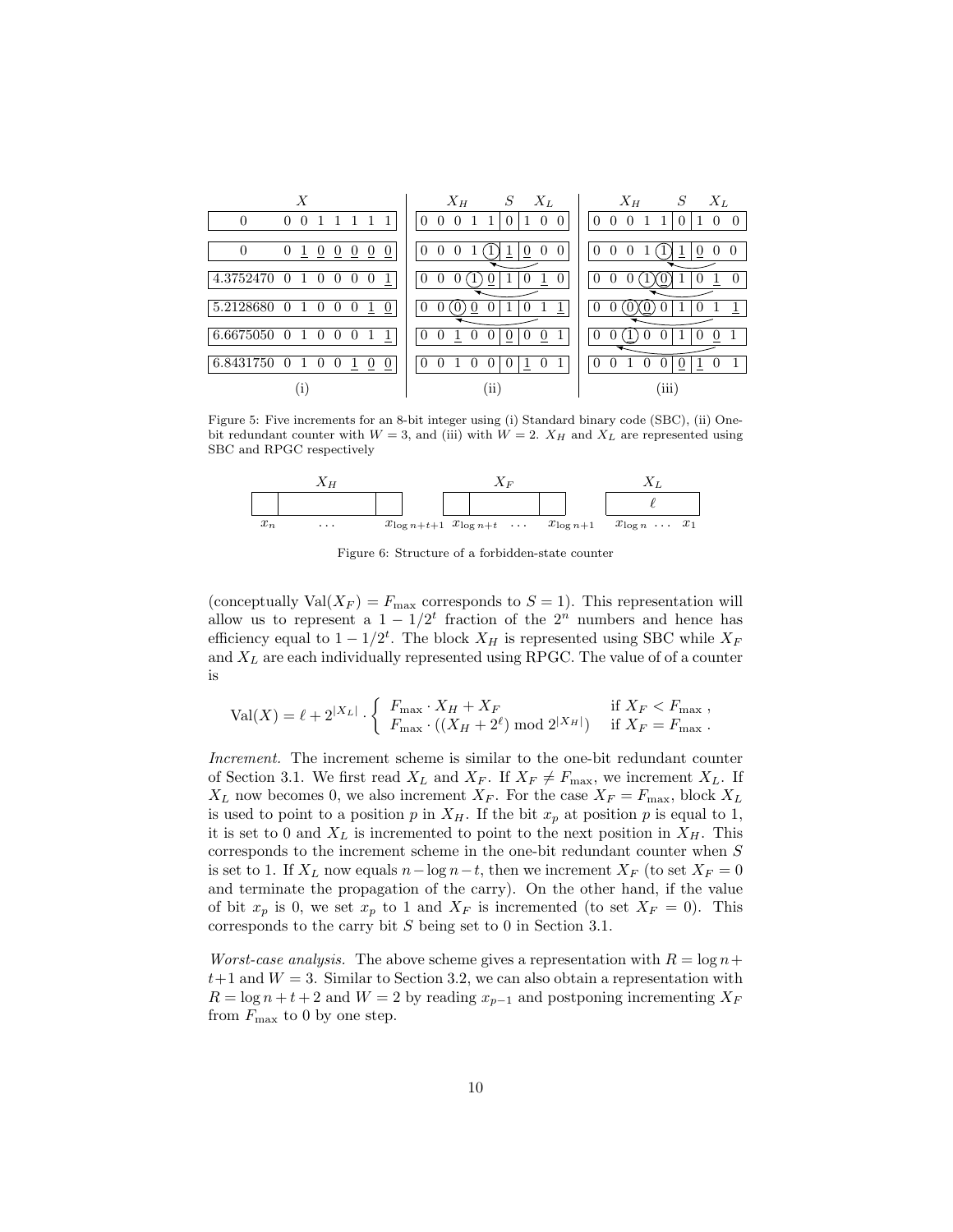| Х                                                                                              | $X_H$<br>$X_L$<br>S                                                             | $X_L$<br>$X_H$<br>$S_{-}$                                                            |
|------------------------------------------------------------------------------------------------|---------------------------------------------------------------------------------|--------------------------------------------------------------------------------------|
| $\Omega$<br>$\mathbf{1}$<br>1 1<br>0                                                           | 1<br>$\Omega$<br>$\Omega$<br>$\overline{0}$<br>$\Omega$<br>$\Omega$<br>$\Omega$ | $\Omega$<br>$\Omega$<br>$\mathbf{1}$<br>$\left($<br>$\Omega$<br>$\Omega$<br>$\theta$ |
|                                                                                                |                                                                                 |                                                                                      |
| $\theta$<br>0<br>$\overline{0}$<br>$\overline{0}$<br>$\overline{0}$<br>$\theta$<br>$\cup$<br>T | $\theta$<br>0<br>$\Omega$<br>$\Omega$<br>0<br>T                                 | $\Omega$<br>0<br>$\Omega$<br>$\theta$<br>$\theta$                                    |
|                                                                                                |                                                                                 |                                                                                      |
| 4.3752470<br>0 <sub>1</sub><br>0<br>$\theta$<br>$\theta$<br>$\theta$                           | 1<br>$\theta$                                                                   | $\Omega$<br>$\Omega$<br>$\theta$                                                     |
|                                                                                                |                                                                                 |                                                                                      |
| 5.2128680<br>0 <sub>1</sub><br>0<br>1<br>$\theta$<br>$\overline{0}$<br>$\theta$                | $\theta$                                                                        | $\Omega$                                                                             |
|                                                                                                |                                                                                 |                                                                                      |
| 6.6675050<br>$\Omega$<br>0 <sub>1</sub><br>$\theta$<br>$\theta$                                | $\left( \right)$<br>$\theta$                                                    | $\Omega$<br>0                                                                        |
|                                                                                                |                                                                                 |                                                                                      |
| 6.8431750 0 1<br>$\theta$<br>$\overline{0}$<br>$\overline{0}$<br>$\left( \right)$              |                                                                                 | 0<br>0                                                                               |
|                                                                                                |                                                                                 |                                                                                      |
| 1.                                                                                             | $\rm (ii)$                                                                      | 'iii)                                                                                |

Figure 5: Five increments for an 8-bit integer using (i) Standard binary code (SBC), (ii) Onebit redundant counter with  $W = 3$ , and (iii) with  $W = 2$ .  $X_H$  and  $X_L$  are represented using SBC and RPGC respectively



Figure 6: Structure of a forbidden-state counter

(conceptually  $Val(X_F) = F_{\text{max}}$  corresponds to  $S = 1$ ). This representation will allow us to represent a  $1 - 1/2^t$  fraction of the  $2^n$  numbers and hence has efficiency equal to  $1 - 1/2^t$ . The block  $X_H$  is represented using SBC while  $X_F$ and  $X_L$  are each individually represented using RPGC. The value of of a counter is

$$
\text{Val}(X) = \ell + 2^{|X_L|} \cdot \left\{ \begin{array}{ll} F_{\text{max}} \cdot X_H + X_F & \text{if } X_F < F_{\text{max}} \\ F_{\text{max}} \cdot \left( (X_H + 2^{\ell}) \bmod 2^{|X_H|} \right) & \text{if } X_F = F_{\text{max}} \end{array} \right.
$$

Increment. The increment scheme is similar to the one-bit redundant counter of Section 3.1. We first read  $X_L$  and  $X_F$ . If  $X_F \neq F_{\text{max}}$ , we increment  $X_L$ . If  $X_L$  now becomes 0, we also increment  $X_F$ . For the case  $X_F = F_{\text{max}}$ , block  $X_L$ is used to point to a position p in  $X_H$ . If the bit  $x_p$  at position p is equal to 1, it is set to 0 and  $X_L$  is incremented to point to the next position in  $X_H$ . This corresponds to the increment scheme in the one-bit redundant counter when S is set to 1. If  $X_L$  now equals  $n-\log n-t$ , then we increment  $X_F$  (to set  $X_F = 0$ and terminate the propagation of the carry). On the other hand, if the value of bit  $x_p$  is 0, we set  $x_p$  to 1 and  $X_F$  is incremented (to set  $X_F = 0$ ). This corresponds to the carry bit S being set to 0 in Section 3.1.

*Worst-case analysis.* The above scheme gives a representation with  $R = \log n +$  $t+1$  and  $W = 3$ . Similar to Section 3.2, we can also obtain a representation with  $R = \log n + t + 2$  and  $W = 2$  by reading  $x_{p-1}$  and postponing incrementing  $X_F$ from  $F_{\text{max}}$  to 0 by one step.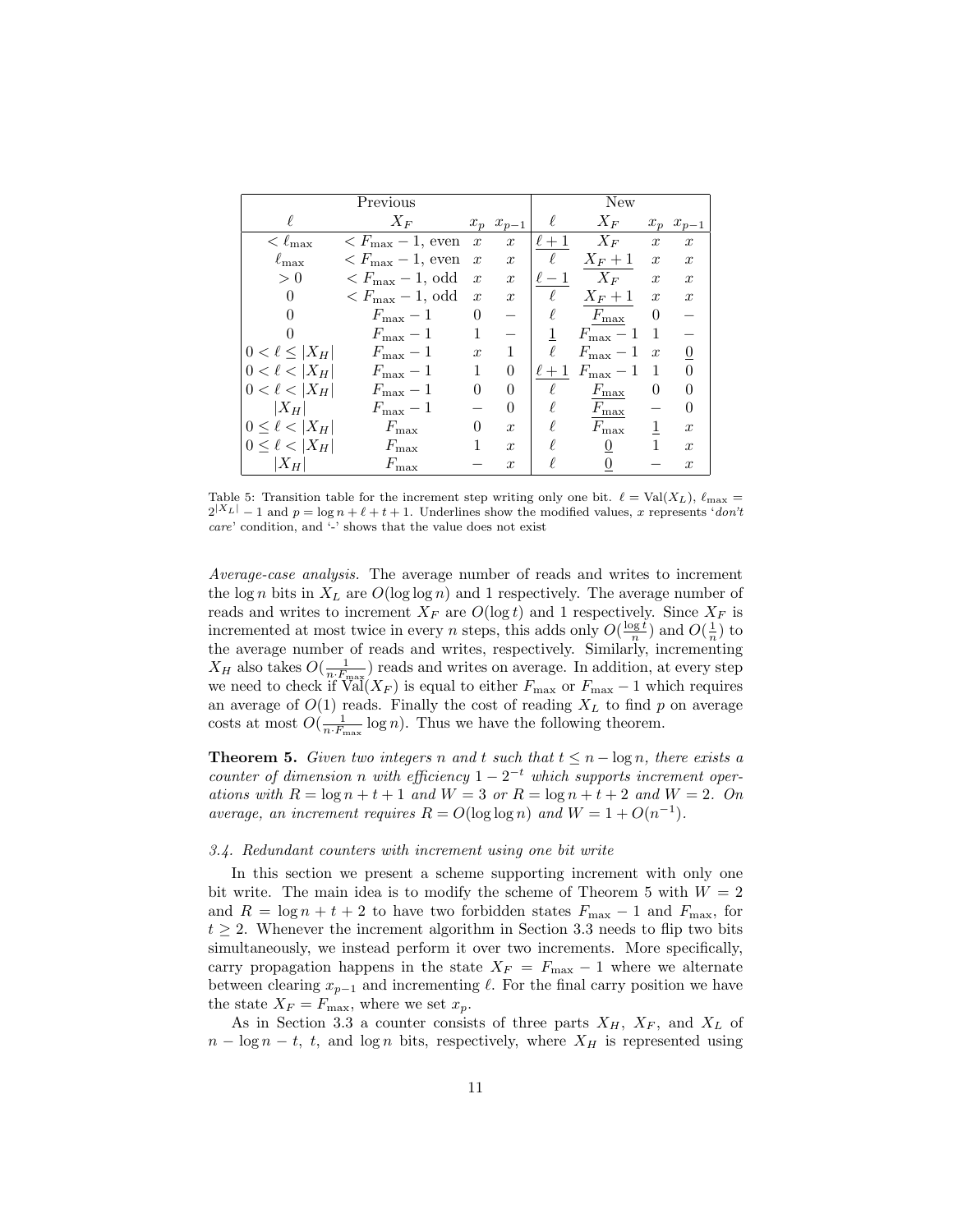|                       | Previous                                        |                  |                  |          | New                |                  |                  |
|-----------------------|-------------------------------------------------|------------------|------------------|----------|--------------------|------------------|------------------|
| ł                     | $X_F$                                           |                  | $x_p$ $x_{p-1}$  | $\ell$   | $X_F$              |                  | $x_p$ $x_{p-1}$  |
| $< \ell_{\rm max}$    | $\langle F_{\text{max}}-1, \text{ even}\rangle$ | $\boldsymbol{x}$ | $\boldsymbol{x}$ | $\ell+1$ | $X_F$              | $\boldsymbol{x}$ | $\boldsymbol{x}$ |
| $\ell_{\rm max}$      | $\langle F_{\rm max}-1,$ even                   | $\boldsymbol{x}$ | $\boldsymbol{x}$ | $\ell$   | $X_F+1$            | $\boldsymbol{x}$ | $\boldsymbol{x}$ |
| > 0                   | $\langle F_{\text{max}}-1, \text{ odd}\rangle$  | $\boldsymbol{x}$ | $\boldsymbol{x}$ | $\ell-1$ | $X_F$              | $\boldsymbol{x}$ | $\boldsymbol{x}$ |
| $\overline{0}$        | $\langle F_{\text{max}}-1, \text{ odd}\rangle$  | $\boldsymbol{x}$ | $\boldsymbol{x}$ | $\ell$   | $X_F+1$            | $\boldsymbol{x}$ | $\boldsymbol{x}$ |
|                       | $F_{\rm max} - 1$                               | 0                |                  |          | $F_{\rm max}$      | $\theta$         |                  |
| 0                     | $F_{\text{max}}-1$                              |                  |                  |          | $F_{\text{max}}-1$ |                  |                  |
| $0 < \ell \leq  X_H $ | $F_{\text{max}}-1$                              | $\boldsymbol{x}$ |                  | ł.       | $F_{\rm max} - 1$  | $\boldsymbol{x}$ | 0                |
| $0 < \ell <  X_H $    | $F_{\text{max}}-1$                              |                  | $\Omega$         | $\ell+1$ | $F_{\text{max}}-1$ | -1               | 0                |
| $0 < \ell <  X_H $    | $F_{\text{max}}-1$                              | 0                | $\Omega$         | ł.       | $F_{\rm max}$      | 0                | 0                |
| $ X_H $               | $F_{\text{max}}-1$                              |                  | $\Omega$         |          | $F_{\rm max}$      |                  | $\theta$         |
| $0 \leq \ell <  X_H $ | $F_{\rm max}$                                   | $\theta$         | $\mathcal{X}$    |          | $F_{\rm max}$      |                  | $\boldsymbol{x}$ |
| $0 \leq \ell <  X_H $ | $F_{\rm max}$                                   |                  | $\boldsymbol{x}$ |          | $\overline{0}$     |                  | $\boldsymbol{x}$ |
| $ X_H $               | $F_{\rm max}$                                   |                  | $\boldsymbol{x}$ |          |                    |                  | $\boldsymbol{x}$ |

Table 5: Transition table for the increment step writing only one bit.  $\ell = Val(X_L)$ ,  $\ell_{\text{max}} =$  $2^{|X_L|}-1$  and  $p = \log n + \ell + t + 1$ . Underlines show the modified values, x represents 'don't care' condition, and '-' shows that the value does not exist

Average-case analysis. The average number of reads and writes to increment the log n bits in  $X_L$  are  $O(\log \log n)$  and 1 respectively. The average number of reads and writes to increment  $X_F$  are  $O(\log t)$  and 1 respectively. Since  $X_F$  is incremented at most twice in every *n* steps, this adds only  $O(\frac{\log t}{n})$  and  $O(\frac{1}{n})$  to the average number of reads and writes, respectively. Similarly, incrementing  $X_H$  also takes  $O(\frac{1}{n \cdot F_{\text{max}}})$  reads and writes on average. In addition, at every step we need to check if  $\operatorname{Val}(X_F)$  is equal to either  $F_{\text{max}}$  or  $F_{\text{max}} - 1$  which requires an average of  $O(1)$  reads. Finally the cost of reading  $X_L$  to find p on average costs at most  $O(\frac{1}{n \cdot F_{\text{max}}} \log n)$ . Thus we have the following theorem.

**Theorem 5.** Given two integers n and t such that  $t \leq n - \log n$ , there exists a counter of dimension n with efficiency  $1 - 2^{-t}$  which supports increment operations with  $R = \log n + t + 1$  and  $W = 3$  or  $R = \log n + t + 2$  and  $W = 2$ . On average, an increment requires  $R = O(\log \log n)$  and  $W = 1 + O(n^{-1})$ .

# 3.4. Redundant counters with increment using one bit write

In this section we present a scheme supporting increment with only one bit write. The main idea is to modify the scheme of Theorem 5 with  $W = 2$ and  $R = \log n + t + 2$  to have two forbidden states  $F_{\text{max}} - 1$  and  $F_{\text{max}}$ , for  $t \geq 2$ . Whenever the increment algorithm in Section 3.3 needs to flip two bits simultaneously, we instead perform it over two increments. More specifically, carry propagation happens in the state  $X_F = F_{\text{max}} - 1$  where we alternate between clearing  $x_{p-1}$  and incrementing  $\ell$ . For the final carry position we have the state  $X_F = F_{\text{max}}$ , where we set  $x_p$ .

As in Section 3.3 a counter consists of three parts  $X_H$ ,  $X_F$ , and  $X_L$  of  $n - \log n - t$ , t, and  $\log n$  bits, respectively, where  $X_H$  is represented using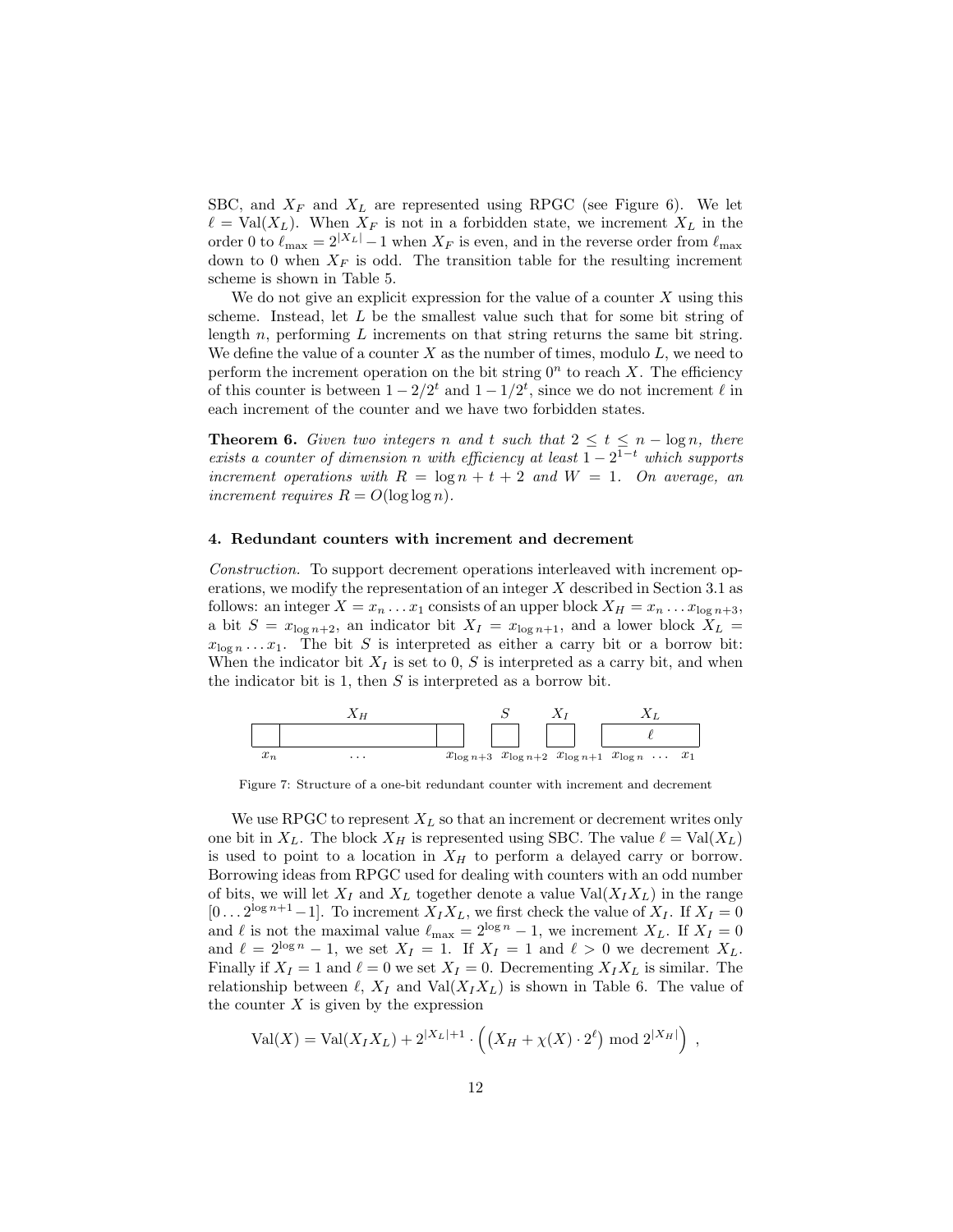SBC, and  $X_F$  and  $X_L$  are represented using RPGC (see Figure 6). We let  $\ell = Val(X_L)$ . When  $X_F$  is not in a forbidden state, we increment  $X_L$  in the order 0 to  $\ell_{\text{max}} = 2|X_L| - 1$  when  $X_F$  is even, and in the reverse order from  $\ell_{\text{max}}$ down to 0 when  $X_F$  is odd. The transition table for the resulting increment scheme is shown in Table 5.

We do not give an explicit expression for the value of a counter  $X$  using this scheme. Instead, let  $L$  be the smallest value such that for some bit string of length  $n$ , performing  $L$  increments on that string returns the same bit string. We define the value of a counter X as the number of times, modulo  $L$ , we need to perform the increment operation on the bit string  $0<sup>n</sup>$  to reach X. The efficiency of this counter is between  $1 - 2/2^t$  and  $1 - 1/2^t$ , since we do not increment  $\ell$  in each increment of the counter and we have two forbidden states.

**Theorem 6.** Given two integers n and t such that  $2 \le t \le n - \log n$ , there exists a counter of dimension n with efficiency at least  $1 - 2^{1-t}$  which supports increment operations with  $R = \log n + t + 2$  and  $W = 1$ . On average, an increment requires  $R = O(\log \log n)$ .

#### 4. Redundant counters with increment and decrement

Construction. To support decrement operations interleaved with increment operations, we modify the representation of an integer  $X$  described in Section 3.1 as follows: an integer  $X = x_n \dots x_1$  consists of an upper block  $X_H = x_n \dots x_{\log n+3}$ , a bit  $S = x_{\log n+2}$ , an indicator bit  $X_I = x_{\log n+1}$ , and a lower block  $X_L =$  $x_{\log n} \dots x_1$ . The bit S is interpreted as either a carry bit or a borrow bit: When the indicator bit  $X_I$  is set to 0, S is interpreted as a carry bit, and when the indicator bit is 1, then  $S$  is interpreted as a borrow bit.



Figure 7: Structure of a one-bit redundant counter with increment and decrement

We use RPGC to represent  $X_L$  so that an increment or decrement writes only one bit in  $X_L$ . The block  $X_H$  is represented using SBC. The value  $\ell = \text{Val}(X_L)$ is used to point to a location in  $X_H$  to perform a delayed carry or borrow. Borrowing ideas from RPGC used for dealing with counters with an odd number of bits, we will let  $X_I$  and  $X_L$  together denote a value  $Val(X_I X_L)$  in the range [0...2<sup>log n+1</sup>-1]. To increment  $X_I X_L$ , we first check the value of  $X_I$ . If  $X_I = 0$ and  $\ell$  is not the maximal value  $\ell_{\text{max}} = 2^{\log n} - 1$ , we increment  $X_L$ . If  $X_I = 0$ and  $\ell = 2^{\log n} - 1$ , we set  $X_I = 1$ . If  $X_I = 1$  and  $\ell > 0$  we decrement  $X_L$ . Finally if  $X_I = 1$  and  $\ell = 0$  we set  $X_I = 0$ . Decrementing  $X_I X_L$  is similar. The relationship between  $\ell$ ,  $X_I$  and  $Val(X_I X_L)$  is shown in Table 6. The value of the counter  $X$  is given by the expression

$$
Val(X) = Val(X_I X_L) + 2^{|X_L|+1} \cdot ((X_H + \chi(X) \cdot 2^{\ell}) \mod 2^{|X_H|}),
$$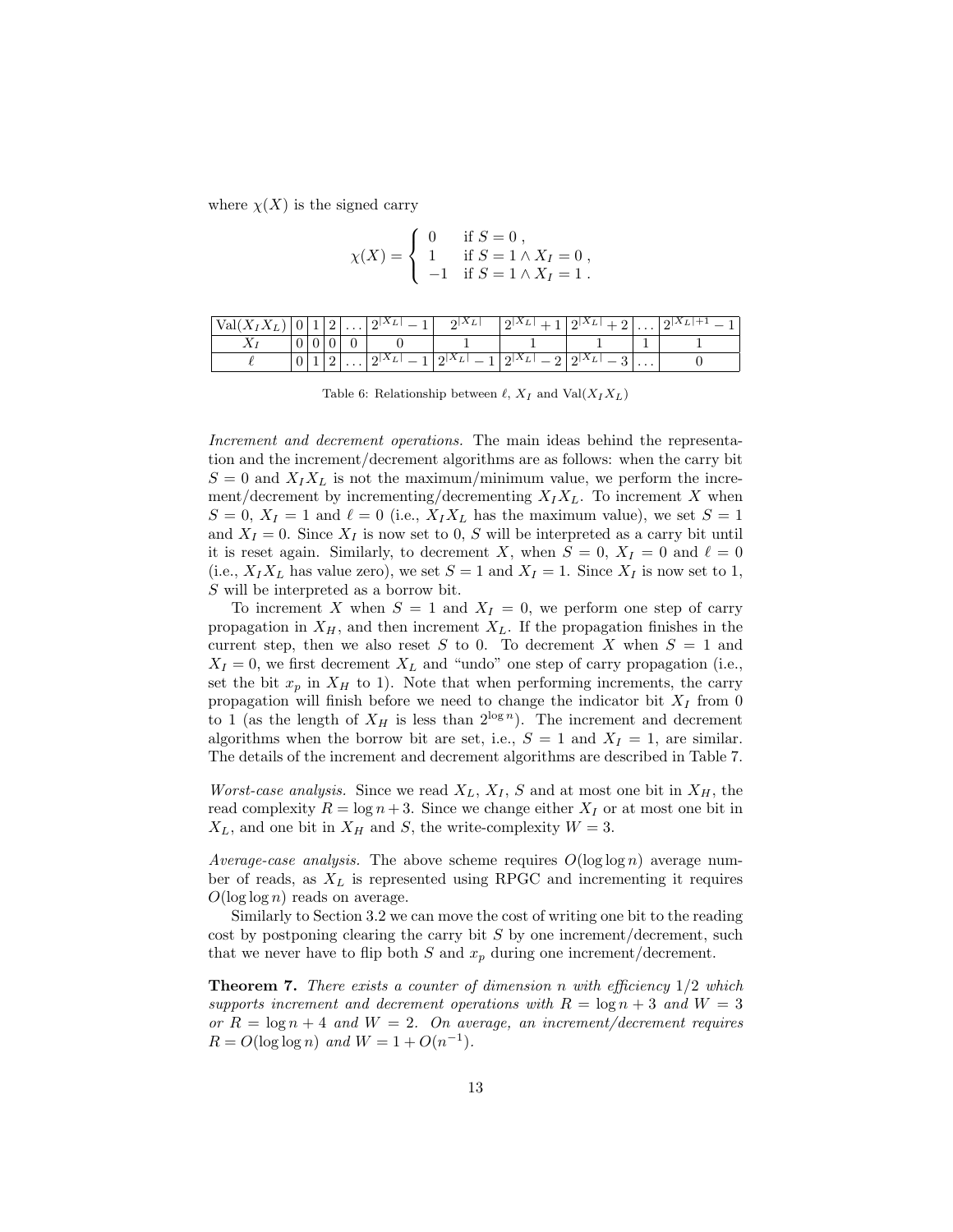where  $\chi(X)$  is the signed carry

$$
\chi(X) = \begin{cases} 0 & \text{if } S = 0 ,\\ 1 & \text{if } S = 1 \wedge X_I = 0 ,\\ -1 & \text{if } S = 1 \wedge X_I = 1 . \end{cases}
$$

| Val(<br><u>، ب</u> |    |   | ∸ | $\cdots$ | $\Omega$ | $2^{ A_L }$<br>∸        | $\Omega  _{\Delta L}$<br>п<br>≖ | $2 \Delta L $<br>≃             |          | $+2 A_L $ .<br>∸ |
|--------------------|----|---|---|----------|----------|-------------------------|---------------------------------|--------------------------------|----------|------------------|
|                    | ◡  | ◡ |   |          |          |                         |                                 |                                |          |                  |
|                    | v. |   | ∼ |          | പ∆       | $\Lambda_L$<br>$\Omega$ | $\Omega$ $\Lambda$ $\tau$<br>≖  | $\mathfrak{D}^{ \mathbf{A} }L$ | $\cdots$ |                  |

Table 6: Relationship between  $\ell$ ,  $X_I$  and Val $(X_I X_L)$ 

Increment and decrement operations. The main ideas behind the representation and the increment/decrement algorithms are as follows: when the carry bit  $S = 0$  and  $X_I X_L$  is not the maximum/minimum value, we perform the increment/decrement by incrementing/decrementing  $X_I X_L$ . To increment X when  $S = 0$ ,  $X_I = 1$  and  $\ell = 0$  (i.e.,  $X_I X_L$  has the maximum value), we set  $S = 1$ and  $X_I = 0$ . Since  $X_I$  is now set to 0, S will be interpreted as a carry bit until it is reset again. Similarly, to decrement X, when  $S = 0$ ,  $X_I = 0$  and  $\ell = 0$ (i.e.,  $X_I X_L$  has value zero), we set  $S = 1$  and  $X_I = 1$ . Since  $X_I$  is now set to 1, S will be interpreted as a borrow bit.

To increment X when  $S = 1$  and  $X_I = 0$ , we perform one step of carry propagation in  $X_H$ , and then increment  $X_L$ . If the propagation finishes in the current step, then we also reset S to 0. To decrement X when  $S = 1$  and  $X_I = 0$ , we first decrement  $X_L$  and "undo" one step of carry propagation (i.e., set the bit  $x_p$  in  $X_H$  to 1). Note that when performing increments, the carry propagation will finish before we need to change the indicator bit  $X_I$  from 0 to 1 (as the length of  $X_H$  is less than  $2^{\log n}$ ). The increment and decrement algorithms when the borrow bit are set, i.e.,  $S = 1$  and  $X_I = 1$ , are similar. The details of the increment and decrement algorithms are described in Table 7.

*Worst-case analysis.* Since we read  $X_L$ ,  $X_I$ , S and at most one bit in  $X_H$ , the read complexity  $R = \log n + 3$ . Since we change either  $X_I$  or at most one bit in  $X_L$ , and one bit in  $X_H$  and S, the write-complexity  $W = 3$ .

Average-case analysis. The above scheme requires  $O(\log \log n)$  average number of reads, as  $X_L$  is represented using RPGC and incrementing it requires  $O(\log \log n)$  reads on average.

Similarly to Section 3.2 we can move the cost of writing one bit to the reading cost by postponing clearing the carry bit  $S$  by one increment/decrement, such that we never have to flip both S and  $x_p$  during one increment/decrement.

**Theorem 7.** There exists a counter of dimension n with efficiency  $1/2$  which supports increment and decrement operations with  $R = \log n + 3$  and  $W = 3$ or  $R = \log n + 4$  and  $W = 2$ . On average, an increment/decrement requires  $R = O(\log \log n)$  and  $W = 1 + O(n^{-1})$ .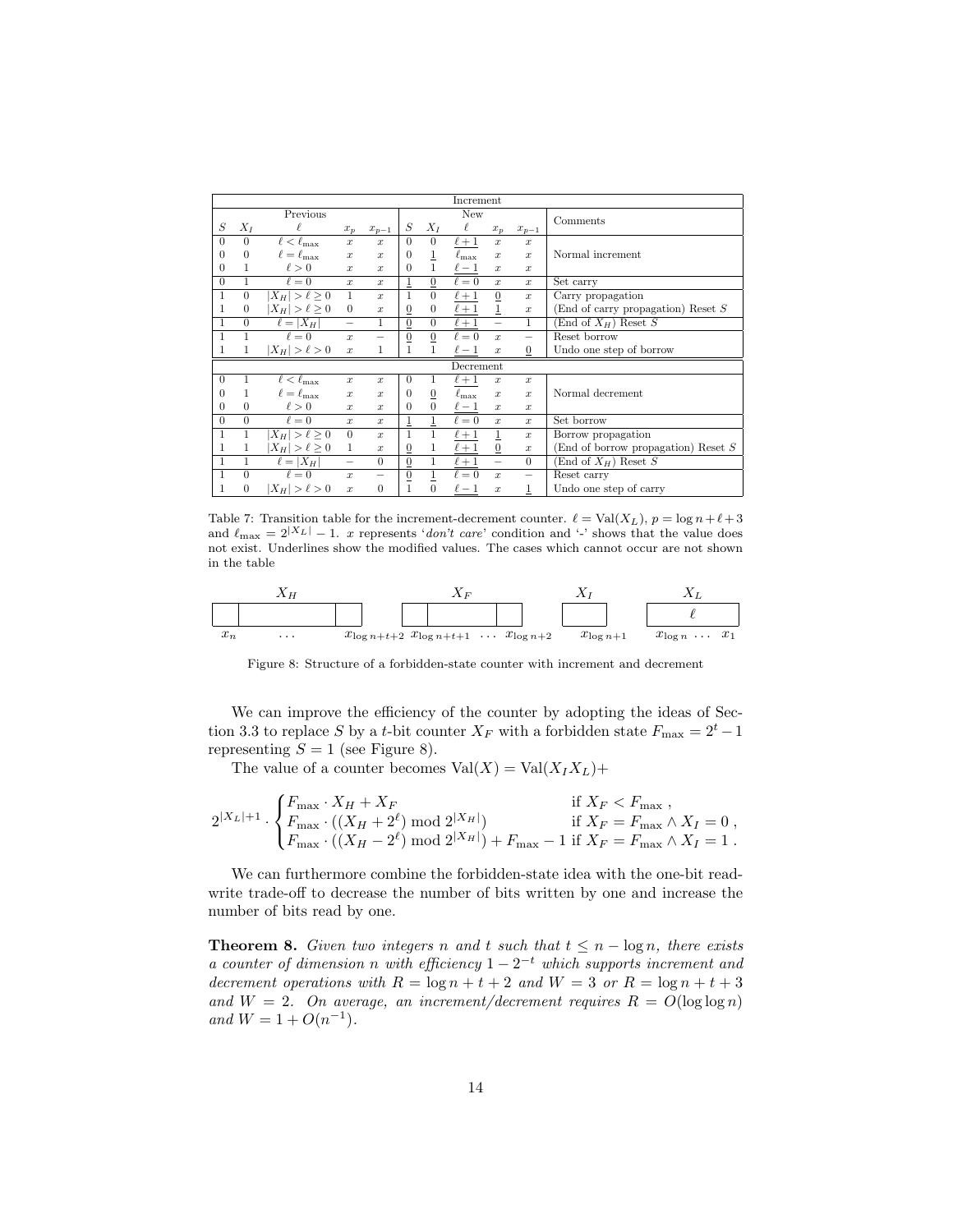|              |                |                         |                          |                          |                 |                | Increment        |                          |                  |                                            |
|--------------|----------------|-------------------------|--------------------------|--------------------------|-----------------|----------------|------------------|--------------------------|------------------|--------------------------------------------|
|              |                | Previous                |                          |                          |                 |                | New              |                          |                  |                                            |
| S            | $X_I$          | ℓ                       | $x_p$                    | $\boldsymbol{x}_{p-1}$   | S               | $X_I$          | $\ell$           | $x_p$                    | $x_{p-1}$        | Comments                                   |
| $\theta$     | $\overline{0}$ | $\ell < \ell_{\rm max}$ | $\boldsymbol{x}$         | $\boldsymbol{x}$         | $\Omega$        | $\theta$       | $\ell+1$         | $\boldsymbol{x}$         | $\boldsymbol{x}$ |                                            |
| 0            | $\Omega$       | $\ell = \ell_{\rm max}$ | $\boldsymbol{x}$         | $\boldsymbol{x}$         | $\Omega$        | 1              | $\ell_{\rm max}$ | $\boldsymbol{x}$         | $\boldsymbol{x}$ | Normal increment                           |
| 0            |                | $\ell > 0$              | $\boldsymbol{x}$         | $\boldsymbol{x}$         | $\theta$        | 1              | $\ell-1$         | $\boldsymbol{x}$         | $\boldsymbol{x}$ |                                            |
| $\theta$     | 1              | $\ell = 0$              | $\boldsymbol{x}$         | $\boldsymbol{x}$         | 1               | $\overline{0}$ | $\ell = 0$       | $\boldsymbol{x}$         | $\boldsymbol{x}$ | Set carry                                  |
| $\mathbf{1}$ | $\overline{0}$ | $ X_H  > \ell \geq 0$   | $\mathbf{1}$             | $\boldsymbol{x}$         | 1               | $\overline{0}$ | $\ell+1$         | $\overline{0}$           | $\boldsymbol{x}$ | Carry propagation                          |
| 1            | $\theta$       | $ X_H  > \ell \geq 0$   | $\theta$                 | $\boldsymbol{x}$         | $\overline{0}$  | $\theta$       | $\ell+1$         | $\mathbf{1}$             | $\boldsymbol{x}$ | $(End of carry propagation)$ Reset $S$     |
| $\mathbf{1}$ | $\overline{0}$ | $\ell =  X_H $          | $\overline{\phantom{0}}$ | 1                        | $\overline{0}$  | $\Omega$       | $\ell+1$         | $\overline{\phantom{0}}$ | 1                | $\overline{\text{End}}$ of $X_H$ ) Reset S |
| 1            | 1              | $\ell = 0$              | $\boldsymbol{x}$         | $\overline{\phantom{0}}$ | $\overline{0}$  | $\overline{0}$ | $\ell = 0$       | $\boldsymbol{x}$         |                  | Reset borrow                               |
| 1            | 1              | $ X_H  > \ell > 0$      | $\boldsymbol{x}$         | 1                        | 1               | 1              | $\ell-1$         | $\boldsymbol{x}$         | $\mathbf{0}$     | Undo one step of borrow                    |
|              |                |                         |                          |                          |                 |                | Decrement        |                          |                  |                                            |
| $\theta$     | 1              | $\ell < \ell_{\rm max}$ | $\boldsymbol{x}$         | $\boldsymbol{x}$         | $\theta$        | 1              | $\ell+1$         | $\boldsymbol{x}$         | $\boldsymbol{x}$ |                                            |
| 0            |                | $\ell = \ell_{\max}$    | $\boldsymbol{x}$         | $\boldsymbol{x}$         | $\Omega$        | $\overline{0}$ | $\ell_{\rm max}$ | $\boldsymbol{x}$         | $\boldsymbol{x}$ | Normal decrement                           |
| 0            | $\Omega$       | $\ell > 0$              | $\boldsymbol{x}$         | $\boldsymbol{x}$         | $\theta$        | $\Omega$       | $\ell-1$         | $\boldsymbol{x}$         | $\boldsymbol{x}$ |                                            |
| $\theta$     | $\Omega$       | $\ell = 0$              | $\boldsymbol{x}$         | $\boldsymbol{x}$         | $\overline{1}$  |                | $\ell = 0$       | $\boldsymbol{x}$         | $\boldsymbol{x}$ | Set borrow                                 |
| $\mathbf{1}$ | 1              | $ X_H  > \ell \geq 0$   | $\theta$                 | $\boldsymbol{x}$         | 1               | 1              | $\ell+1$         | $\overline{1}$           | $\boldsymbol{x}$ | Borrow propagation                         |
| 1            | 1              | $ X_H  > \ell \geq 0$   | 1                        | $\boldsymbol{x}$         | $\overline{0}$  | 1              | $\ell+1$         | $\underline{0}$          | $\boldsymbol{x}$ | (End of borrow propagation) Reset S        |
| $\mathbf{1}$ | 1              | $\ell =  X_H $          | $\overline{\phantom{0}}$ | $\Omega$                 | $\underline{0}$ | $\mathbf{1}$   | $\ell+1$         | $\overline{\phantom{0}}$ | $\Omega$         | (End of $X_H$ ) Reset S                    |
| $\mathbf{1}$ | $\overline{0}$ | $\ell = 0$              | $\boldsymbol{x}$         | $\overline{\phantom{0}}$ | $\underline{0}$ | $\overline{1}$ | $\ell = 0$       | $\boldsymbol{x}$         |                  | Reset carry                                |
| 1            | $\theta$       | $ X_H  > \ell > 0$      | $\boldsymbol{x}$         | $\Omega$                 | 1               | $\overline{0}$ | $\ell-1$         | $\boldsymbol{x}$         | 1                | Undo one step of carry                     |
|              |                |                         |                          |                          |                 |                |                  |                          |                  |                                            |

Table 7: Transition table for the increment-decrement counter.  $\ell = Val(X_L)$ ,  $p = log n + \ell + 3$ and  $\ell_{\text{max}} = 2^{|X_L|} - 1$ . x represents 'don't care' condition and '-' shows that the value does not exist. Underlines show the modified values. The cases which cannot occur are not shown in the table

| $X_H$ | $X_F$ | $X_I$            | $X_L$            |     |                |                |                        |
|-------|-------|------------------|------------------|-----|----------------|----------------|------------------------|
| $x_n$ | ...   | $x_{\log n+t+2}$ | $x_{\log n+t+1}$ | ... | $x_{\log n+2}$ | $x_{\log n+1}$ | $x_{\log n} \dots x_1$ |

Figure 8: Structure of a forbidden-state counter with increment and decrement

We can improve the efficiency of the counter by adopting the ideas of Section 3.3 to replace S by a t-bit counter  $X_F$  with a forbidden state  $F_{\text{max}} = 2^t - 1$ representing  $S = 1$  (see Figure 8).

The value of a counter becomes  $Val(X) = Val(X_I X_L) +$ 

$$
2^{|X_L|+1} \cdot \begin{cases} F_{\max} \cdot X_H + X_F & \text{if } X_F < F_{\max} \\ F_{\max} \cdot ((X_H + 2^{\ell}) \bmod 2^{|X_H|}) & \text{if } X_F = F_{\max} \wedge X_I = 0 \\ F_{\max} \cdot ((X_H - 2^{\ell}) \bmod 2^{|X_H|}) + F_{\max} - 1 & \text{if } X_F = F_{\max} \wedge X_I = 1 \end{cases},
$$

We can furthermore combine the forbidden-state idea with the one-bit readwrite trade-off to decrease the number of bits written by one and increase the number of bits read by one.

**Theorem 8.** Given two integers n and t such that  $t \leq n - \log n$ , there exists a counter of dimension n with efficiency  $1 - 2^{-t}$  which supports increment and decrement operations with  $R = \log n + t + 2$  and  $W = 3$  or  $R = \log n + t + 3$ and  $W = 2$ . On average, an increment/decrement requires  $R = O(\log \log n)$ and  $W = 1 + O(n^{-1})$ .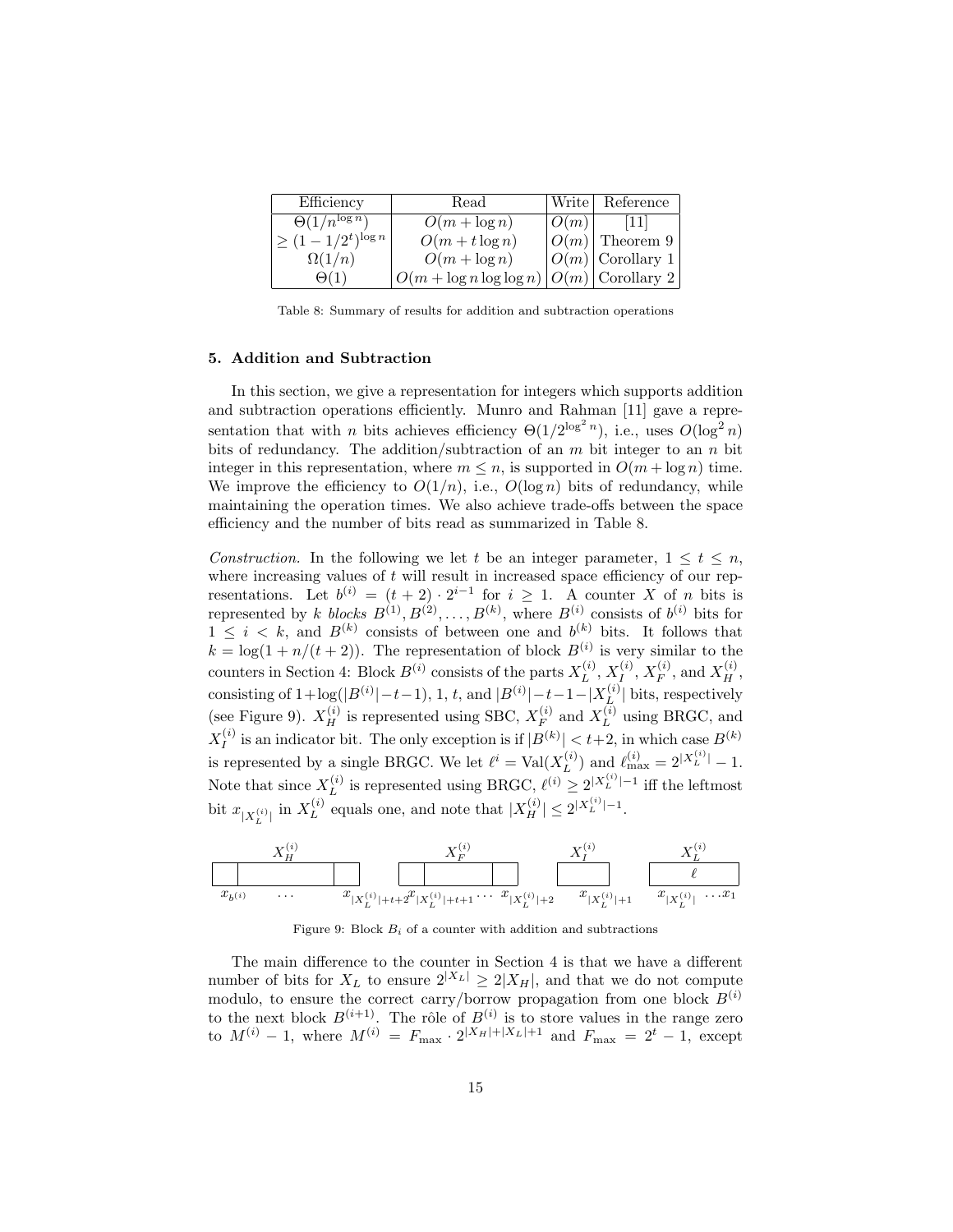| Efficiency                  | Read                                           |      | Write   Reference    |
|-----------------------------|------------------------------------------------|------|----------------------|
| $\Theta(1/n^{\log n})$      | $O(m + \log n)$                                | O(m) | 111                  |
| $\leq (1 - 1/2^t)^{\log n}$ | $O(m+t \log n)$                                |      | $ O(m) $ Theorem 9   |
| $\Omega(1/n)$               | $O(m + \log n)$                                |      | $ O(m) $ Corollary 1 |
| $\Theta(1)$                 | $ O(m + \log n \log \log n) O(m) $ Corollary 2 |      |                      |

Table 8: Summary of results for addition and subtraction operations

#### 5. Addition and Subtraction

In this section, we give a representation for integers which supports addition and subtraction operations efficiently. Munro and Rahman [11] gave a representation that with *n* bits achieves efficiency  $\Theta(1/2^{\log^2 n})$ , i.e., uses  $O(\log^2 n)$ bits of redundancy. The addition/subtraction of an  $m$  bit integer to an  $n$  bit integer in this representation, where  $m \leq n$ , is supported in  $O(m + \log n)$  time. We improve the efficiency to  $O(1/n)$ , i.e.,  $O(\log n)$  bits of redundancy, while maintaining the operation times. We also achieve trade-offs between the space efficiency and the number of bits read as summarized in Table 8.

Construction. In the following we let t be an integer parameter,  $1 \le t \le n$ , where increasing values of  $t$  will result in increased space efficiency of our representations. Let  $b^{(i)} = (t+2) \cdot 2^{i-1}$  for  $i \geq 1$ . A counter X of n bits is represented by k blocks  $B^{(1)}, B^{(2)}, \ldots, B^{(k)}$ , where  $B^{(i)}$  consists of  $b^{(i)}$  bits for  $1 \leq i \leq k$ , and  $B^{(k)}$  consists of between one and  $b^{(k)}$  bits. It follows that  $k = \log(1 + n/(t+2))$ . The representation of block  $B^{(i)}$  is very similar to the counters in Section 4: Block  $B^{(i)}$  consists of the parts  $X_L^{(i)}$  $_L^{\left( i\right) },X_I^{\left( i\right) }$  $I^{(i)},X_F^{(i)}$  $Y_F^{(i)}$ , and  $X_H^{(i)}$ , consisting of  $1 + \log(|B^{(i)}| - t - 1)$ , 1, t, and  $|B^{(i)}| - t - 1 - |X_L^{(i)}|$  $\lfloor L^{(i)} \rfloor$  bits, respectively (see Figure 9).  $X_H^{(i)}$  is represented using SBC,  $X_F^{(i)}$  $Y_F^{(i)}$  and  $X_L^{(i)}$  $L^{(i)}$  using BRGC, and  $X_I^{(i)}$  $I_I^{(i)}$  is an indicator bit. The only exception is if  $|B^{(k)}| < t+2$ , in which case  $B^{(k)}$ is represented by a single BRGC. We let  $\ell^i = \text{Val}(X_L^{(i)})$  and  $\ell_{\text{max}}^{(i)} = 2^{|X_L^{(i)}|} - 1$ . L Note that since  $X_L^{(i)}$  $L_L^{(i)}$  is represented using BRGC,  $\ell^{(i)} \geq 2^{|X_L^{(i)}|-1}$  iff the leftmost bit  $x_{|X_L^{(i)}|}$  in  $X_L^{(i)}$  $L_L^{(i)}$  equals one, and note that  $|X_H^{(i)}| \leq 2^{|X_L^{(i)}|-1}$ .

$$
\begin{array}{c|c|c} X_H^{(i)} & X_F^{(i)} & X_F^{(i)} & X_L^{(i)} \\ \hline & & & \end{array}
$$

Figure 9: Block  $B_i$  of a counter with addition and subtractions

The main difference to the counter in Section 4 is that we have a different number of bits for  $X_L$  to ensure  $2|X_L| \geq 2|X_H|$ , and that we do not compute modulo, to ensure the correct carry/borrow propagation from one block  $B^{(i)}$ to the next block  $B^{(i+1)}$ . The rôle of  $B^{(i)}$  is to store values in the range zero to  $M^{(i)} - 1$ , where  $M^{(i)} = F_{\text{max}} \cdot 2^{|X_H| + |X_L| + 1}$  and  $F_{\text{max}} = 2^t - 1$ , except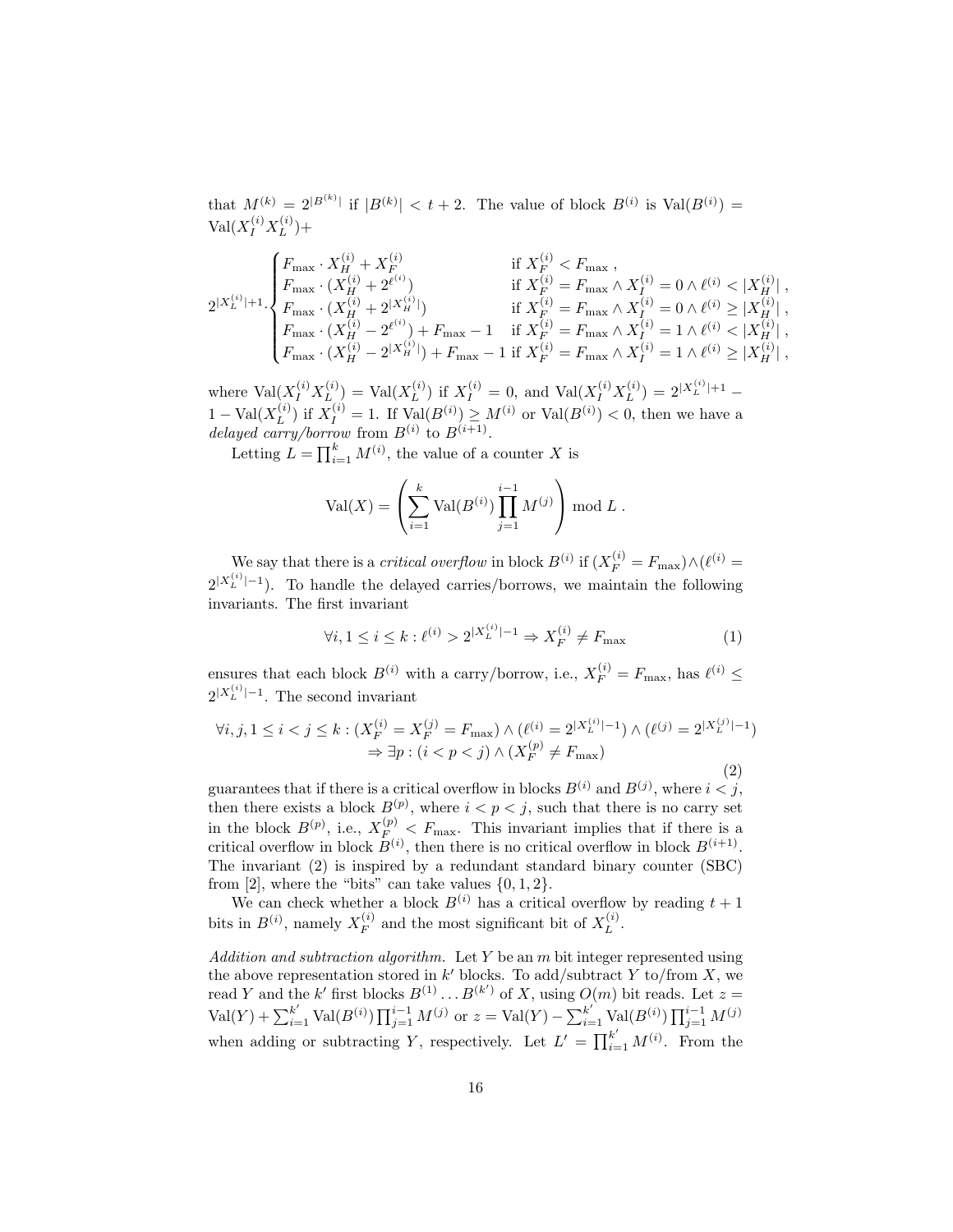that  $M^{(k)} = 2^{|B^{(k)}|}$  if  $|B^{(k)}| < t+2$ . The value of block  $B^{(i)}$  is  $Val(B^{(i)}) =$  $\text{Val}(X_I^{(i)}X_L^{(i)})$  $\binom{1}{L} +$ 

$$
2^{|X_L^{(i)}|+1}\cdot \begin{cases} F_{\max}\cdot X_H^{(i)} + X_F^{(i)} & \text{if } X_F^{(i)} < F_{\max}\,, \\ F_{\max}\cdot (X_H^{(i)} + 2^{\ell^{(i)}}) & \text{if } X_F^{(i)} = F_{\max}\wedge X_I^{(i)} = 0 \wedge \ell^{(i)} < |X_H^{(i)}| \,, \\ F_{\max}\cdot (X_H^{(i)} - 2^{\ell^{(i)}}) + F_{\max} - 1 & \text{if } X_F^{(i)} = F_{\max}\wedge X_I^{(i)} = 1 \wedge \ell^{(i)} < |X_H^{(i)}| \,, \\ F_{\max}\cdot (X_H^{(i)} - 2^{\ell^{(i)}}) + F_{\max} - 1 & \text{if } X_F^{(i)} = F_{\max}\wedge X_I^{(i)} = 1 \wedge \ell^{(i)} < |X_H^{(i)}| \,, \\ F_{\max}\cdot (X_H^{(i)} - 2^{|X_H^{(i)}|}) + F_{\max} - 1 & \text{if } X_F^{(i)} = F_{\max}\wedge X_I^{(i)} = 1 \wedge \ell^{(i)} \ge |X_H^{(i)}| \,, \end{cases}
$$

where  $\text{Val}(X_I^{(i)}X_L^{(i)})$  $L^{(i)}$ ) = Val $(X_L^{(i)}$  $L^{(i)}$ ) if  $X_I^{(i)} = 0$ , and  $Val(X_I^{(i)} X_L^{(i)})$  $\binom{i}{L} = 2^{|X_L^{(i)}|+1} 1-\text{Val}(X_L^{(i)})$  $L_L^{(i)}$ ) if  $X_I^{(i)} = 1$ . If  $\text{Val}(B^{(i)}) \geq M^{(i)}$  or  $\text{Val}(B^{(i)}) < 0$ , then we have a delayed carry/borrow from  $B^{(i)}$  to  $B^{(i+1)}$ .

Letting  $L = \prod_{i=1}^{k} M^{(i)}$ , the value of a counter X is

$$
Val(X) = \left(\sum_{i=1}^{k} Val(B^{(i)}) \prod_{j=1}^{i-1} M^{(j)}\right) \mod L.
$$

We say that there is a *critical overflow* in block  $B^{(i)}$  if  $(X_F^{(i)} = F_{\text{max}}) \wedge (\ell^{(i)} =$  $2^{|X_L^{(i)}|-1}$ ). To handle the delayed carries/borrows, we maintain the following invariants. The first invariant

$$
\forall i, 1 \le i \le k : \ell^{(i)} > 2^{|X_L^{(i)}|-1} \Rightarrow X_F^{(i)} \ne F_{\text{max}} \tag{1}
$$

ensures that each block  $B^{(i)}$  with a carry/borrow, i.e.,  $X_F^{(i)} = F_{\text{max}}$ , has  $\ell^{(i)} \leq$  $2^{|X_L^{(i)}|-1}$ . The second invariant

$$
\forall i, j, 1 \le i < j \le k : (X_F^{(i)} = X_F^{(j)} = F_{\text{max}}) \land (\ell^{(i)} = 2^{|X_L^{(i)}| - 1}) \land (\ell^{(j)} = 2^{|X_L^{(j)}| - 1})
$$
\n
$$
\Rightarrow \exists p : (i < p < j) \land (X_F^{(p)} \ne F_{\text{max}})
$$

(2)

guarantees that if there is a critical overflow in blocks  $B^{(i)}$  and  $B^{(j)}$ , where  $i < j$ , then there exists a block  $B^{(p)}$ , where  $i < p < j$ , such that there is no carry set in the block  $B^{(p)}$ , i.e.,  $X_{F}^{(p)} < F_{\text{max}}$ . This invariant implies that if there is a critical overflow in block  $B^{(i)}$ , then there is no critical overflow in block  $B^{(i+1)}$ . The invariant (2) is inspired by a redundant standard binary counter (SBC) from [2], where the "bits" can take values  $\{0, 1, 2\}$ .

We can check whether a block  $B^{(i)}$  has a critical overflow by reading  $t + 1$ bits in  $B^{(i)}$ , namely  $X_F^{(i)}$  $F_F^{(i)}$  and the most significant bit of  $X_L^{(i)}$  $L^{(i)}$ .

Addition and subtraction algorithm. Let  $Y$  be an  $m$  bit integer represented using the above representation stored in  $k'$  blocks. To add/subtract Y to/from X, we read Y and the k' first blocks  $B^{(1)} \dots B^{(k')}$  of X, using  $O(m)$  bit reads. Let  $z =$  $\text{Val}(Y) + \sum_{i=1}^{k'} \text{Val}(B^{(i)}) \prod_{j=1}^{i-1} M^{(j)}$  or  $z = \text{Val}(Y) - \sum_{i=1}^{k'} \text{Val}(B^{(i)}) \prod_{j=1}^{i-1} M^{(j)}$ when adding or subtracting Y, respectively. Let  $L' = \prod_{i=1}^{k'} M^{(i)}$ . From the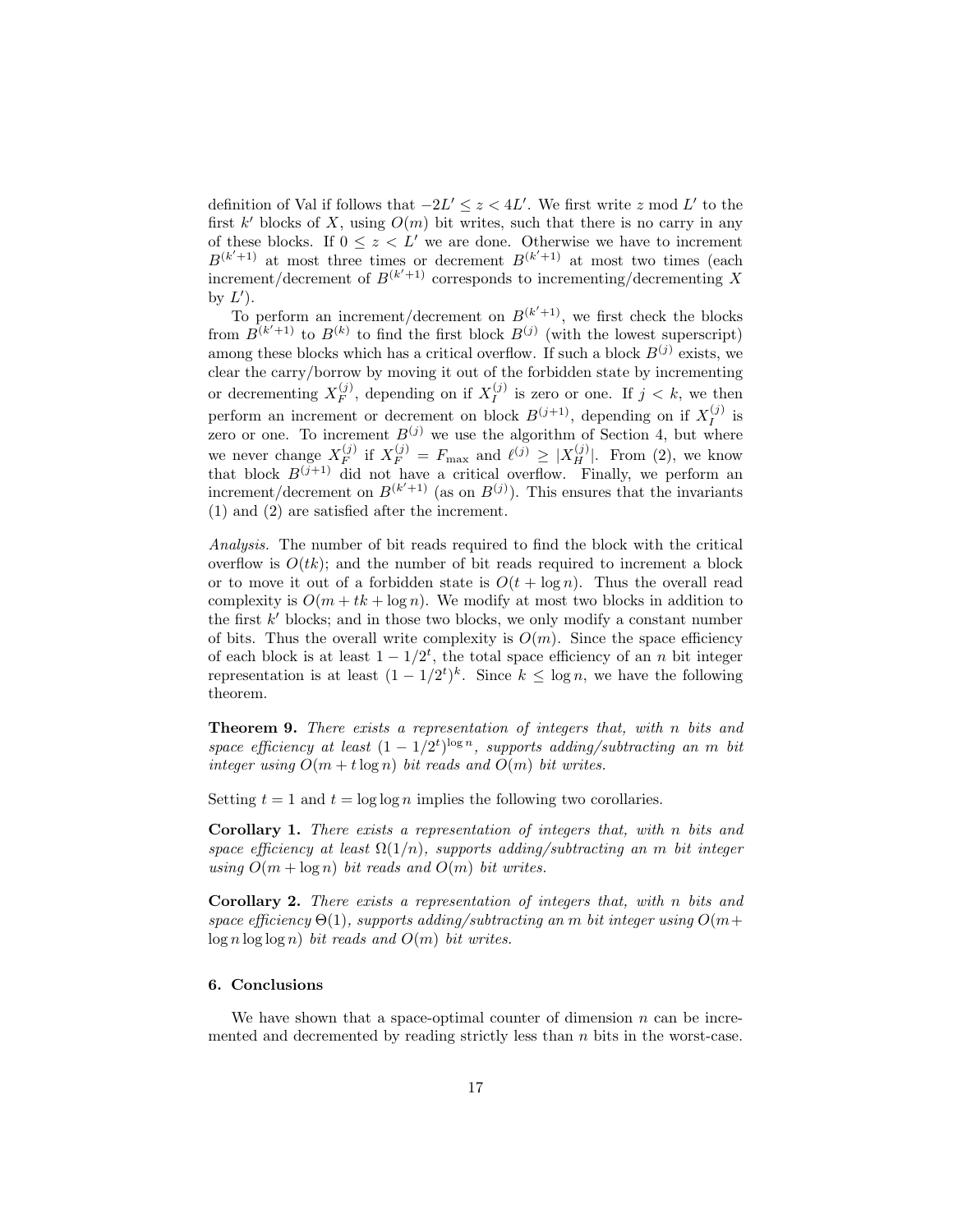definition of Val if follows that  $-2L' \leq z < 4L'$ . We first write z mod L' to the first  $k'$  blocks of X, using  $O(m)$  bit writes, such that there is no carry in any of these blocks. If  $0 \leq z \leq L'$  we are done. Otherwise we have to increment  $B^{(k'+1)}$  at most three times or decrement  $B^{(k'+1)}$  at most two times (each increment/decrement of  $B^{(k'+1)}$  corresponds to incrementing/decrementing X by  $L'$ ).

To perform an increment/decrement on  $B^{(k'+1)}$ , we first check the blocks from  $B^{(k'+1)}$  to  $B^{(k)}$  to find the first block  $B^{(j)}$  (with the lowest superscript) among these blocks which has a critical overflow. If such a block  $B^{(j)}$  exists, we clear the carry/borrow by moving it out of the forbidden state by incrementing or decrementing  $X_F^{(j)}$  $F_F^{(j)}$ , depending on if  $X_I^{(j)}$  $I_j^{(j)}$  is zero or one. If  $j < k$ , we then perform an increment or decrement on block  $B^{(j+1)}$ , depending on if  $X_I^{(j)}$  $I^{(J)}$  is zero or one. To increment  $B^{(j)}$  we use the algorithm of Section 4, but where we never change  $X_F^{(j)}$  $\mathcal{L}_F^{(j)}$  if  $X_F^{(j)} = F_{\text{max}}$  and  $\ell^{(j)} \geq |X_H^{(j)}|$ . From (2), we know that block  $B^{(j+1)}$  did not have a critical overflow. Finally, we perform an increment/decrement on  $B^{(k'+1)}$  (as on  $B^{(j)}$ ). This ensures that the invariants (1) and (2) are satisfied after the increment.

Analysis. The number of bit reads required to find the block with the critical overflow is  $O(tk)$ ; and the number of bit reads required to increment a block or to move it out of a forbidden state is  $O(t + \log n)$ . Thus the overall read complexity is  $O(m + tk + \log n)$ . We modify at most two blocks in addition to the first  $k'$  blocks; and in those two blocks, we only modify a constant number of bits. Thus the overall write complexity is  $O(m)$ . Since the space efficiency of each block is at least  $1 - 1/2^t$ , the total space efficiency of an n bit integer representation is at least  $(1 - 1/2^t)^k$ . Since  $k \leq \log n$ , we have the following theorem.

Theorem 9. There exists a representation of integers that, with n bits and space efficiency at least  $(1 - 1/2^t)^{\log n}$ , supports adding/subtracting an m bit integer using  $O(m + t \log n)$  bit reads and  $O(m)$  bit writes.

Setting  $t = 1$  and  $t = \log \log n$  implies the following two corollaries.

Corollary 1. There exists a representation of integers that, with n bits and space efficiency at least  $\Omega(1/n)$ , supports adding/subtracting an m bit integer using  $O(m + \log n)$  bit reads and  $O(m)$  bit writes.

Corollary 2. There exists a representation of integers that, with n bits and space efficiency  $\Theta(1)$ , supports adding/subtracting an m bit integer using  $O(m+$  $log n log log n)$  bit reads and  $O(m)$  bit writes.

# 6. Conclusions

We have shown that a space-optimal counter of dimension  $n$  can be incremented and decremented by reading strictly less than  $n$  bits in the worst-case.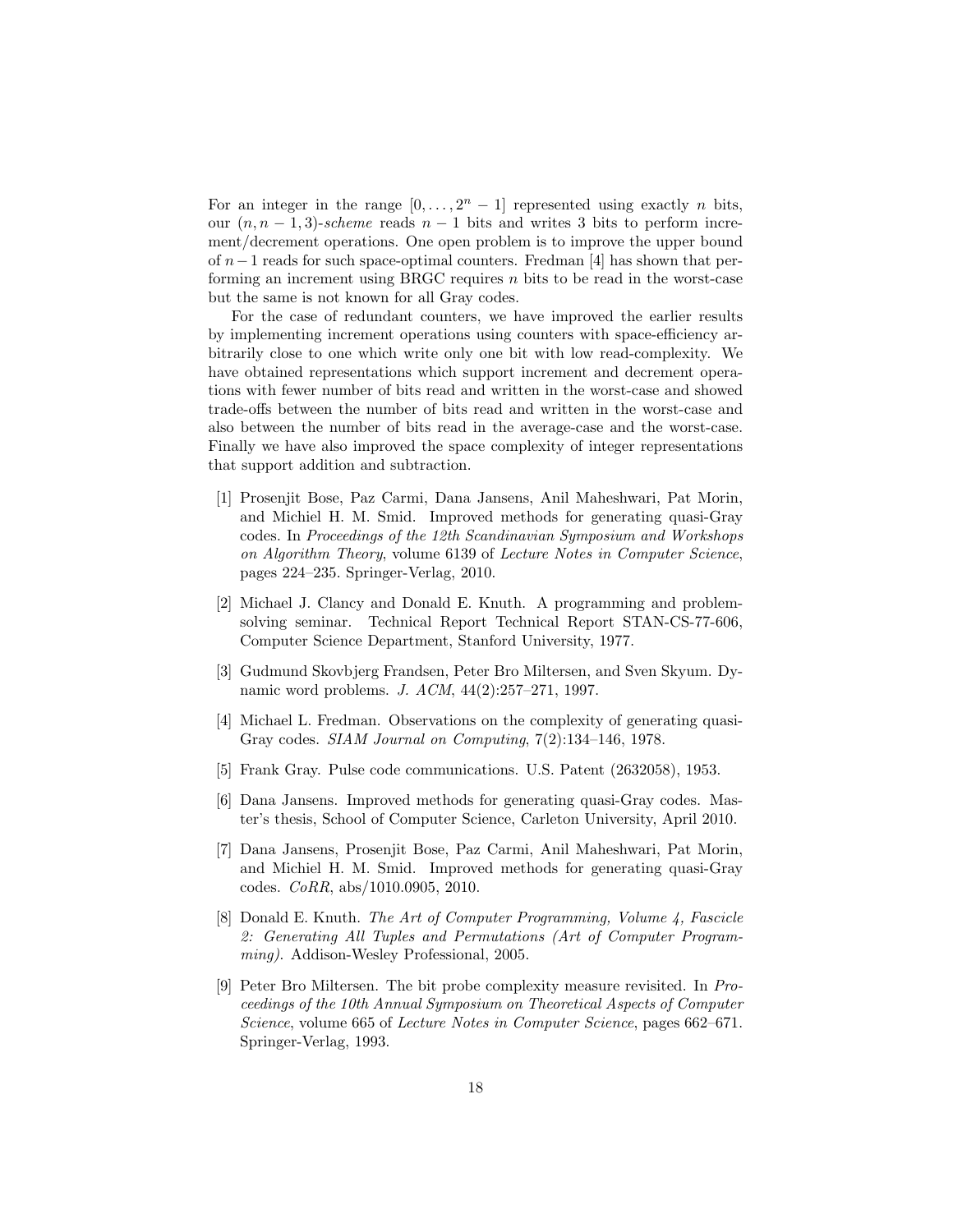For an integer in the range  $[0, \ldots, 2<sup>n</sup> - 1]$  represented using exactly *n* bits, our  $(n, n-1, 3)$ -scheme reads  $n-1$  bits and writes 3 bits to perform increment/decrement operations. One open problem is to improve the upper bound of n−1 reads for such space-optimal counters. Fredman [4] has shown that performing an increment using BRGC requires n bits to be read in the worst-case but the same is not known for all Gray codes.

For the case of redundant counters, we have improved the earlier results by implementing increment operations using counters with space-efficiency arbitrarily close to one which write only one bit with low read-complexity. We have obtained representations which support increment and decrement operations with fewer number of bits read and written in the worst-case and showed trade-offs between the number of bits read and written in the worst-case and also between the number of bits read in the average-case and the worst-case. Finally we have also improved the space complexity of integer representations that support addition and subtraction.

- [1] Prosenjit Bose, Paz Carmi, Dana Jansens, Anil Maheshwari, Pat Morin, and Michiel H. M. Smid. Improved methods for generating quasi-Gray codes. In Proceedings of the 12th Scandinavian Symposium and Workshops on Algorithm Theory, volume 6139 of Lecture Notes in Computer Science, pages 224–235. Springer-Verlag, 2010.
- [2] Michael J. Clancy and Donald E. Knuth. A programming and problemsolving seminar. Technical Report Technical Report STAN-CS-77-606, Computer Science Department, Stanford University, 1977.
- [3] Gudmund Skovbjerg Frandsen, Peter Bro Miltersen, and Sven Skyum. Dynamic word problems. J. ACM, 44(2):257–271, 1997.
- [4] Michael L. Fredman. Observations on the complexity of generating quasi-Gray codes. SIAM Journal on Computing, 7(2):134–146, 1978.
- [5] Frank Gray. Pulse code communications. U.S. Patent (2632058), 1953.
- [6] Dana Jansens. Improved methods for generating quasi-Gray codes. Master's thesis, School of Computer Science, Carleton University, April 2010.
- [7] Dana Jansens, Prosenjit Bose, Paz Carmi, Anil Maheshwari, Pat Morin, and Michiel H. M. Smid. Improved methods for generating quasi-Gray codes. CoRR, abs/1010.0905, 2010.
- [8] Donald E. Knuth. The Art of Computer Programming, Volume 4, Fascicle 2: Generating All Tuples and Permutations (Art of Computer Programming). Addison-Wesley Professional, 2005.
- [9] Peter Bro Miltersen. The bit probe complexity measure revisited. In Proceedings of the 10th Annual Symposium on Theoretical Aspects of Computer Science, volume 665 of Lecture Notes in Computer Science, pages 662–671. Springer-Verlag, 1993.